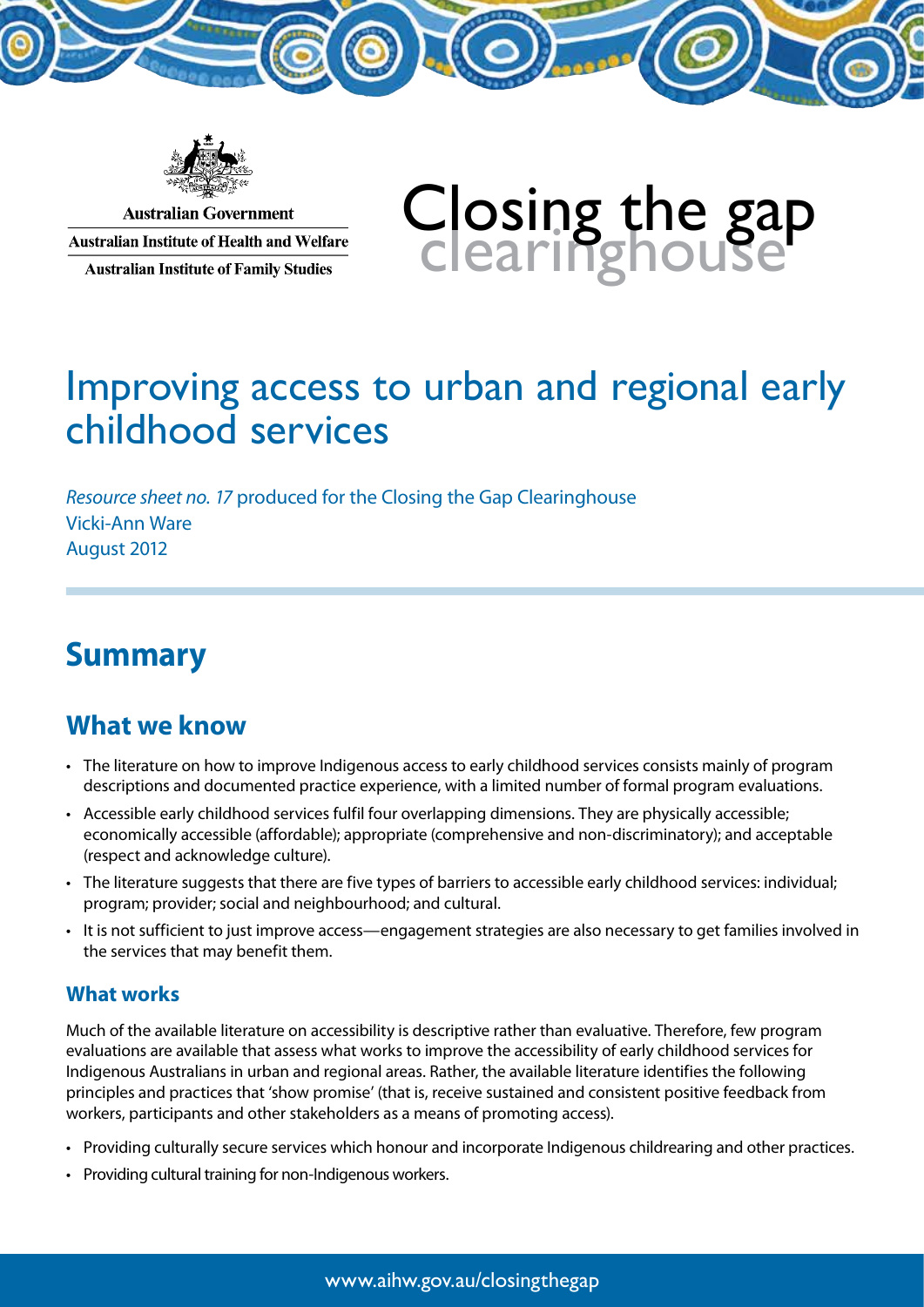

**Australian Government Australian Institute of Health and Welfare Australian Institute of Family Studies** 

# Closing the gap<br>clearinghouse

# Improving access to urban and regional early childhood services

*Resource sheet no. 17* produced for the Closing the Gap Clearinghouse Vicki-Ann Ware August 2012

# **Summary**

## **What we know**

- • The literature on how to improve Indigenous access to early childhood services consists mainly of program descriptions and documented practice experience, with a limited number of formal program evaluations.
- Accessible early childhood services fulfil four overlapping dimensions. They are physically accessible; economically accessible (affordable); appropriate (comprehensive and non-discriminatory); and acceptable (respect and acknowledge culture).
- • The literature suggests that there are five types of barriers to accessible early childhood services: individual; program; provider; social and neighbourhood; and cultural.
- • It is not sufficient to just improve access—engagement strategies are also necessary to get families involved in the services that may benefit them.

#### **What works**

Much of the available literature on accessibility is descriptive rather than evaluative. Therefore, few program evaluations are available that assess what works to improve the accessibility of early childhood services for Indigenous Australians in urban and regional areas. Rather, the available literature identifies the following principles and practices that 'show promise' (that is, receive sustained and consistent positive feedback from workers, participants and other stakeholders as a means of promoting access).

- Providing culturally secure services which honour and incorporate Indigenous childrearing and other practices.
- Providing cultural training for non-Indigenous workers.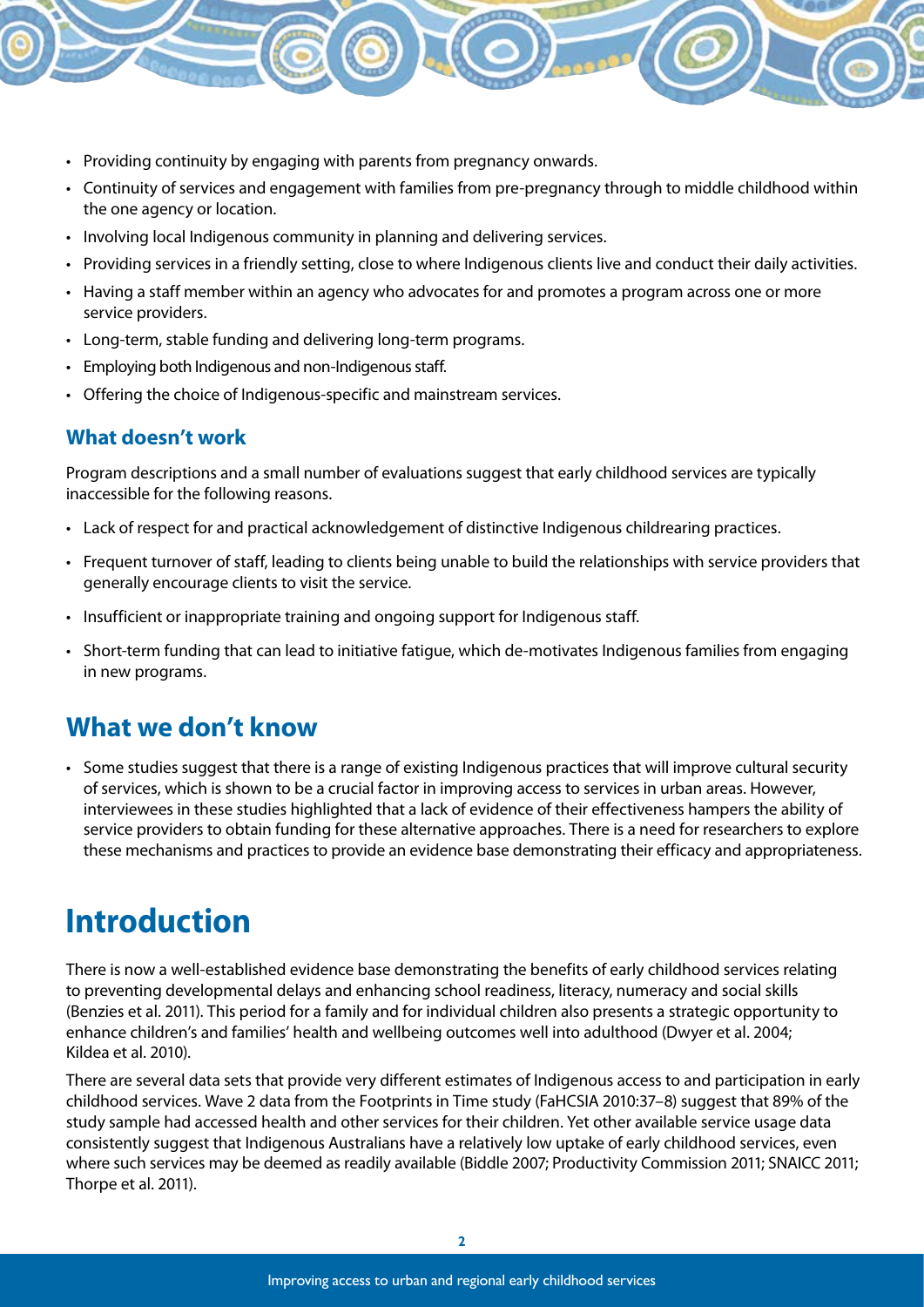- Providing continuity by engaging with parents from pregnancy onwards.
- • Continuity of services and engagement with families from pre-pregnancy through to middle childhood within the one agency or location.
- Involving local Indigenous community in planning and delivering services.
- • Providing services in a friendly setting, close to where Indigenous clients live and conduct their daily activities.
- • Having a staff member within an agency who advocates for and promotes a program across one or more service providers.
- Long-term, stable funding and delivering long-term programs.
- • Employing both Indigenous and non-Indigenous staff.
- Offering the choice of Indigenous-specific and mainstream services.

#### **What doesn't work**

Program descriptions and a small number of evaluations suggest that early childhood services are typically inaccessible for the following reasons.

- Lack of respect for and practical acknowledgement of distinctive Indigenous childrearing practices.
- • Frequent turnover of staff, leading to clients being unable to build the relationships with service providers that generally encourage clients to visit the service.
- Insufficient or inappropriate training and ongoing support for Indigenous staff.
- • Short-term funding that can lead to initiative fatigue, which de-motivates Indigenous families from engaging in new programs.

## **What we don't know**

• Some studies suggest that there is a range of existing Indigenous practices that will improve cultural security of services, which is shown to be a crucial factor in improving access to services in urban areas. However, interviewees in these studies highlighted that a lack of evidence of their effectiveness hampers the ability of service providers to obtain funding for these alternative approaches. There is a need for researchers to explore these mechanisms and practices to provide an evidence base demonstrating their efficacy and appropriateness.

# **Introduction**

There is now a well-established evidence base demonstrating the benefits of early childhood services relating to preventing developmental delays and enhancing school readiness, literacy, numeracy and social skills (Benzies et al. 2011). This period for a family and for individual children also presents a strategic opportunity to enhance children's and families' health and wellbeing outcomes well into adulthood (Dwyer et al. 2004; Kildea et al. 2010).

There are several data sets that provide very different estimates of Indigenous access to and participation in early childhood services. Wave 2 data from the Footprints in Time study (FaHCSIA 2010:37–8) suggest that 89% of the study sample had accessed health and other services for their children. Yet other available service usage data consistently suggest that Indigenous Australians have a relatively low uptake of early childhood services, even where such services may be deemed as readily available (Biddle 2007; Productivity Commission 2011; SNAICC 2011; Thorpe et al. 2011).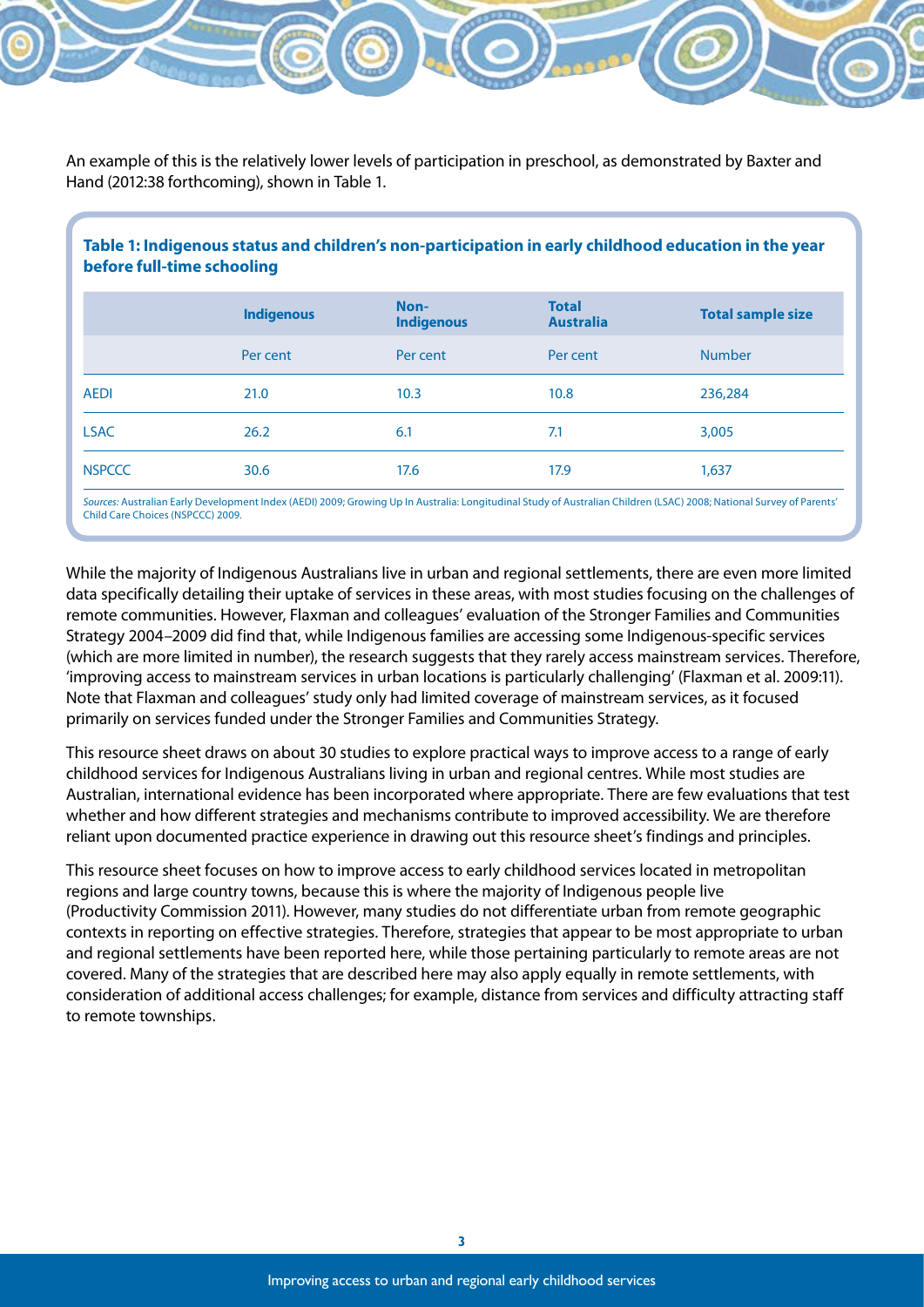An example of this is the relatively lower levels of participation in preschool, as demonstrated by Baxter and Hand (2012:38 forthcoming), shown in Table 1.

| Table 1: Indigenous status and children's non-participation in early childhood education in the year<br>before full-time schooling |                   |                           |                                  |                          |  |
|------------------------------------------------------------------------------------------------------------------------------------|-------------------|---------------------------|----------------------------------|--------------------------|--|
|                                                                                                                                    | <b>Indigenous</b> | Non-<br><b>Indigenous</b> | <b>Total</b><br><b>Australia</b> | <b>Total sample size</b> |  |
|                                                                                                                                    | Per cent          | Per cent                  | Per cent                         | <b>Number</b>            |  |
| <b>AEDI</b>                                                                                                                        | 21.0              | 10.3                      | 10.8                             | 236,284                  |  |
| <b>LSAC</b>                                                                                                                        | 26.2              | 6.1                       | 7.1                              | 3,005                    |  |
| <b>NSPCCC</b>                                                                                                                      | 30.6              | 17.6                      | 17.9                             | 1,637                    |  |

*Sources:* Australian Early Development Index (AEDI) 2009; Growing Up In Australia: Longitudinal Study of Australian Children (LSAC) 2008; National Survey of Parents' Child Care Choices (NSPCCC) 2009.

While the majority of Indigenous Australians live in urban and regional settlements, there are even more limited data specifically detailing their uptake of services in these areas, with most studies focusing on the challenges of remote communities. However, Flaxman and colleagues' evaluation of the Stronger Families and Communities Strategy 2004–2009 did find that, while Indigenous families are accessing some Indigenous-specific services (which are more limited in number), the research suggests that they rarely access mainstream services. Therefore, 'improving access to mainstream services in urban locations is particularly challenging' (Flaxman et al. 2009:11). Note that Flaxman and colleagues' study only had limited coverage of mainstream services, as it focused primarily on services funded under the Stronger Families and Communities Strategy.

This resource sheet draws on about 30 studies to explore practical ways to improve access to a range of early childhood services for Indigenous Australians living in urban and regional centres. While most studies are Australian, international evidence has been incorporated where appropriate. There are few evaluations that test whether and how different strategies and mechanisms contribute to improved accessibility. We are therefore reliant upon documented practice experience in drawing out this resource sheet's findings and principles.

This resource sheet focuses on how to improve access to early childhood services located in metropolitan regions and large country towns, because this is where the majority of Indigenous people live (Productivity Commission 2011). However, many studies do not differentiate urban from remote geographic contexts in reporting on effective strategies. Therefore, strategies that appear to be most appropriate to urban and regional settlements have been reported here, while those pertaining particularly to remote areas are not covered. Many of the strategies that are described here may also apply equally in remote settlements, with consideration of additional access challenges; for example, distance from services and difficulty attracting staff to remote townships.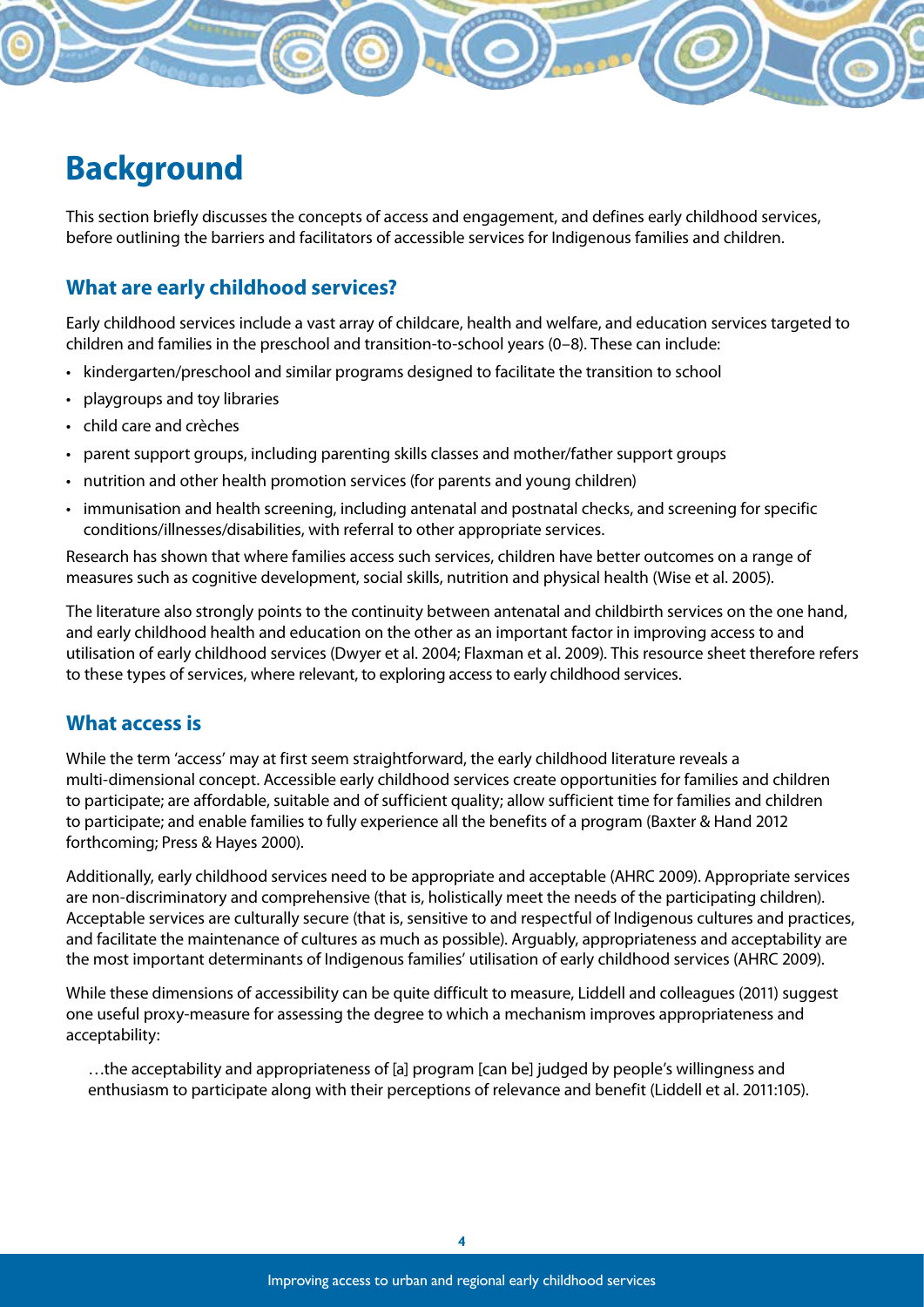# **Background**

This section briefly discusses the concepts of access and engagement, and defines early childhood services, before outlining the barriers and facilitators of accessible services for Indigenous families and children.

#### **What are early childhood services?**

Early childhood services include a vast array of childcare, health and welfare, and education services targeted to children and families in the preschool and transition-to-school years (0–8). These can include:

- • kindergarten/preschool and similar programs designed to facilitate the transition to school
- playgroups and toy libraries
- • child care and crèches
- parent support groups, including parenting skills classes and mother/father support groups
- nutrition and other health promotion services (for parents and young children)
- • immunisation and health screening, including antenatal and postnatal checks, and screening for specific conditions/illnesses/disabilities, with referral to other appropriate services.

Research has shown that where families access such services, children have better outcomes on a range of measures such as cognitive development, social skills, nutrition and physical health (Wise et al. 2005).

The literature also strongly points to the continuity between antenatal and childbirth services on the one hand, and early childhood health and education on the other as an important factor in improving access to and utilisation of early childhood services (Dwyer et al. 2004; Flaxman et al. 2009). This resource sheet therefore refers to these types of services, where relevant, to exploring access to early childhood services.

#### **What access is**

While the term 'access' may at first seem straightforward, the early childhood literature reveals a multi-dimensional concept. Accessible early childhood services create opportunities for families and children to participate; are affordable, suitable and of sufficient quality; allow sufficient time for families and children to participate; and enable families to fully experience all the benefits of a program (Baxter & Hand 2012 forthcoming; Press & Hayes 2000).

Additionally, early childhood services need to be appropriate and acceptable (AHRC 2009). Appropriate services are non-discriminatory and comprehensive (that is, holistically meet the needs of the participating children). Acceptable services are culturally secure (that is, sensitive to and respectful of Indigenous cultures and practices, and facilitate the maintenance of cultures as much as possible). Arguably, appropriateness and acceptability are the most important determinants of Indigenous families' utilisation of early childhood services (AHRC 2009).

While these dimensions of accessibility can be quite difficult to measure, Liddell and colleagues (2011) suggest one useful proxy-measure for assessing the degree to which a mechanism improves appropriateness and acceptability:

…the acceptability and appropriateness of [a] program [can be] judged by people's willingness and enthusiasm to participate along with their perceptions of relevance and benefit (Liddell et al. 2011:105).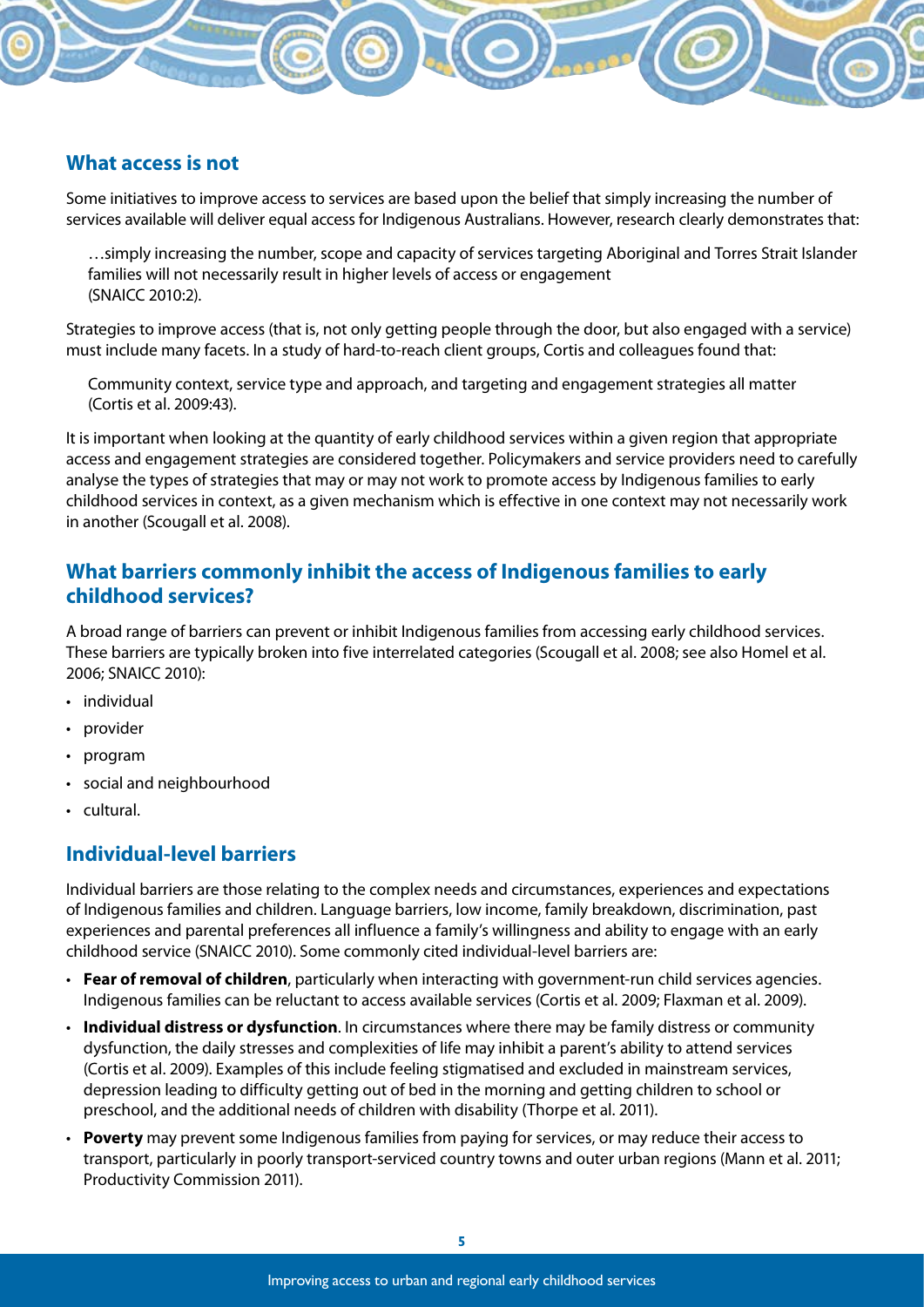#### **What access is not**

Some initiatives to improve access to services are based upon the belief that simply increasing the number of services available will deliver equal access for Indigenous Australians. However, research clearly demonstrates that:

…simply increasing the number, scope and capacity of services targeting Aboriginal and Torres Strait Islander families will not necessarily result in higher levels of access or engagement (SNAICC 2010:2).

Strategies to improve access (that is, not only getting people through the door, but also engaged with a service) must include many facets. In a study of hard-to-reach client groups, Cortis and colleagues found that:

Community context, service type and approach, and targeting and engagement strategies all matter (Cortis et al. 2009:43).

It is important when looking at the quantity of early childhood services within a given region that appropriate access and engagement strategies are considered together. Policymakers and service providers need to carefully analyse the types of strategies that may or may not work to promote access by Indigenous families to early childhood services in context, as a given mechanism which is effective in one context may not necessarily work in another (Scougall et al. 2008).

#### **What barriers commonly inhibit the access of Indigenous families to early childhood services?**

A broad range of barriers can prevent or inhibit Indigenous families from accessing early childhood services. These barriers are typically broken into five interrelated categories (Scougall et al. 2008; see also Homel et al. 2006; SNAICC 2010):

- individual
- provider
- • program
- social and neighbourhood
- • cultural.

#### **Individual-level barriers**

Individual barriers are those relating to the complex needs and circumstances, experiences and expectations of Indigenous families and children. Language barriers, low income, family breakdown, discrimination, past experiences and parental preferences all influence a family's willingness and ability to engage with an early childhood service (SNAICC 2010). Some commonly cited individual-level barriers are:

- • **Fear of removal of children**, particularly when interacting with government-run child services agencies. Indigenous families can be reluctant to access available services (Cortis et al. 2009; Flaxman et al. 2009).
- • **Individual distress or dysfunction**. In circumstances where there may be family distress or community dysfunction, the daily stresses and complexities of life may inhibit a parent's ability to attend services (Cortis et al. 2009). Examples of this include feeling stigmatised and excluded in mainstream services, depression leading to difficulty getting out of bed in the morning and getting children to school or preschool, and the additional needs of children with disability (Thorpe et al. 2011).
- • **Poverty** may prevent some Indigenous families from paying for services, or may reduce their access to transport, particularly in poorly transport-serviced country towns and outer urban regions (Mann et al. 2011; Productivity Commission 2011).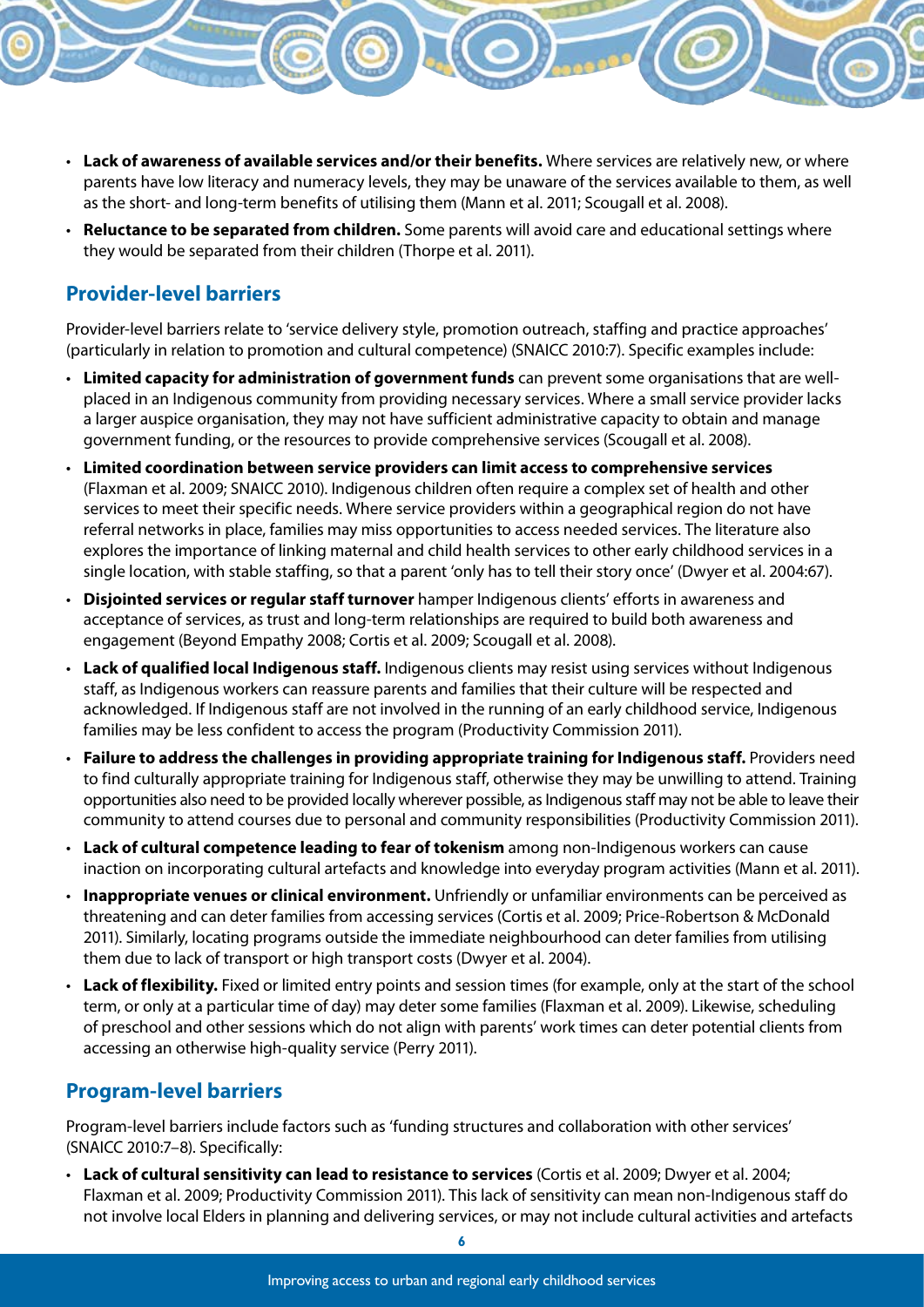- • **Lack of awareness of available services and/or their benefits.** Where services are relatively new, or where parents have low literacy and numeracy levels, they may be unaware of the services available to them, as well as the short- and long-term benefits of utilising them (Mann et al. 2011; Scougall et al. 2008).
- • **Reluctance to be separated from children.** Some parents will avoid care and educational settings where they would be separated from their children (Thorpe et al. 2011).

#### **Provider-level barriers**

Provider-level barriers relate to 'service delivery style, promotion outreach, staffing and practice approaches' (particularly in relation to promotion and cultural competence) (SNAICC 2010:7). Specific examples include:

- • **Limited capacity for administration of government funds** can prevent some organisations that are wellplaced in an Indigenous community from providing necessary services. Where a small service provider lacks a larger auspice organisation, they may not have sufficient administrative capacity to obtain and manage government funding, or the resources to provide comprehensive services (Scougall et al. 2008).
- • **Limited coordination between service providers can limit access to comprehensive services** (Flaxman et al. 2009; SNAICC 2010). Indigenous children often require a complex set of health and other services to meet their specific needs. Where service providers within a geographical region do not have referral networks in place, families may miss opportunities to access needed services. The literature also explores the importance of linking maternal and child health services to other early childhood services in a single location, with stable staffing, so that a parent 'only has to tell their story once' (Dwyer et al. 2004:67).
- • **Disjointed services or regular staff turnover** hamper Indigenous clients' efforts in awareness and acceptance of services, as trust and long-term relationships are required to build both awareness and engagement (Beyond Empathy 2008; Cortis et al. 2009; Scougall et al. 2008).
- • **Lack of qualified local Indigenous staff.** Indigenous clients may resist using services without Indigenous staff, as Indigenous workers can reassure parents and families that their culture will be respected and acknowledged. If Indigenous staff are not involved in the running of an early childhood service, Indigenous families may be less confident to access the program (Productivity Commission 2011).
- • **Failure to address the challenges in providing appropriate training for Indigenous staff.** Providers need to find culturally appropriate training for Indigenous staff, otherwise they may be unwilling to attend. Training opportunities also need to be provided locally wherever possible, as Indigenous staff may not be able to leave their community to attend courses due to personal and community responsibilities (Productivity Commission 2011).
- • **Lack of cultural competence leading to fear of tokenism** among non-Indigenous workers can cause inaction on incorporating cultural artefacts and knowledge into everyday program activities (Mann et al. 2011).
- • **Inappropriate venues or clinical environment.** Unfriendly or unfamiliar environments can be perceived as threatening and can deter families from accessing services (Cortis et al. 2009; Price-Robertson & McDonald 2011). Similarly, locating programs outside the immediate neighbourhood can deter families from utilising them due to lack of transport or high transport costs (Dwyer et al. 2004).
- • **Lack of flexibility.** Fixed or limited entry points and session times (for example, only at the start of the school term, or only at a particular time of day) may deter some families (Flaxman et al. 2009). Likewise, scheduling of preschool and other sessions which do not align with parents' work times can deter potential clients from accessing an otherwise high-quality service (Perry 2011).

#### **Program-level barriers**

Program-level barriers include factors such as 'funding structures and collaboration with other services' (SNAICC 2010:7–8). Specifically:

• **Lack of cultural sensitivity can lead to resistance to services** (Cortis et al. 2009; Dwyer et al. 2004; Flaxman et al. 2009; Productivity Commission 2011). This lack of sensitivity can mean non-Indigenous staff do not involve local Elders in planning and delivering services, or may not include cultural activities and artefacts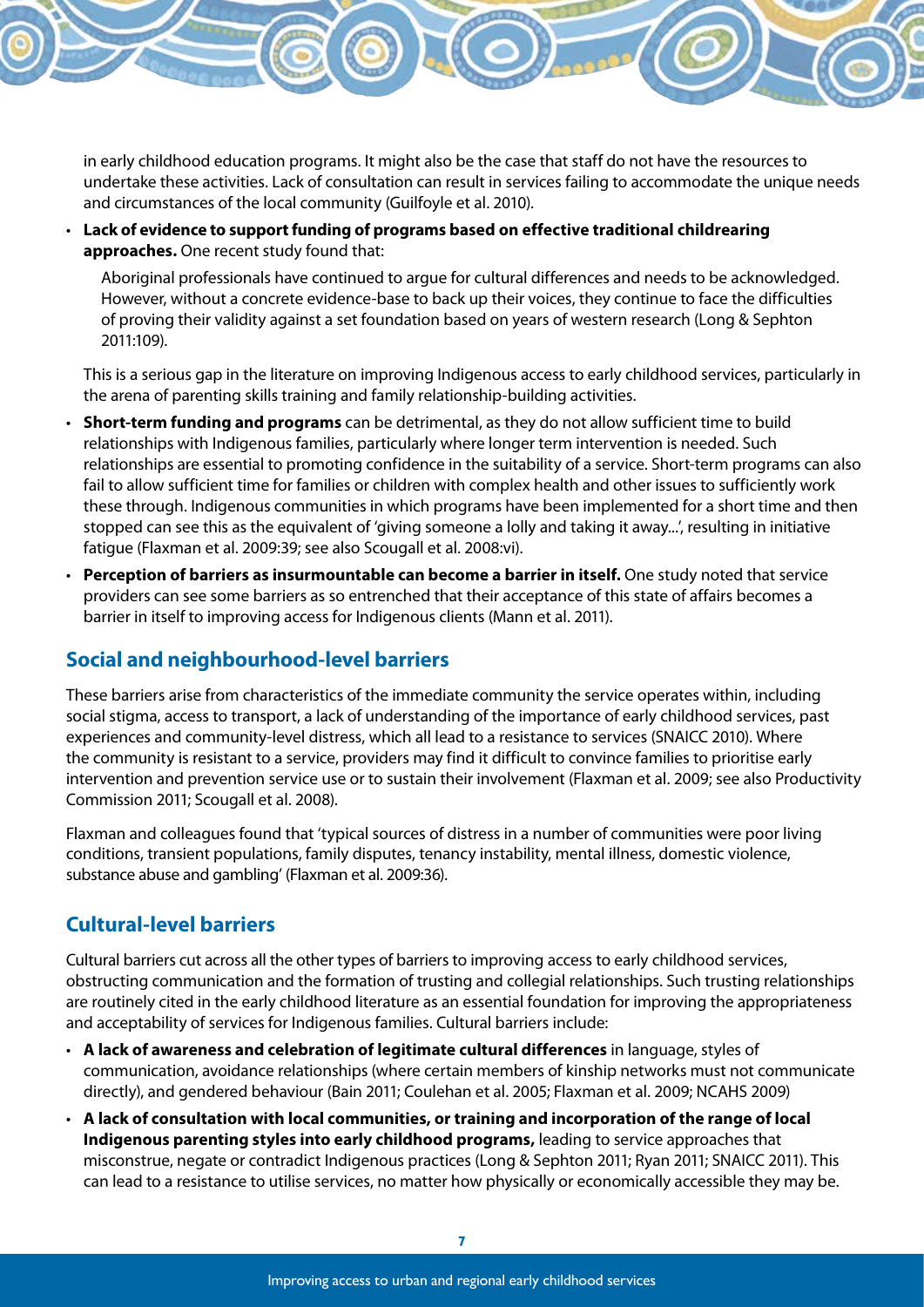in early childhood education programs. It might also be the case that staff do not have the resources to undertake these activities. Lack of consultation can result in services failing to accommodate the unique needs and circumstances of the local community (Guilfoyle et al. 2010).

• **Lack of evidence to support funding of programs based on effective traditional childrearing approaches.** One recent study found that:

Aboriginal professionals have continued to argue for cultural differences and needs to be acknowledged. However, without a concrete evidence-base to back up their voices, they continue to face the difficulties of proving their validity against a set foundation based on years of western research (Long & Sephton 2011:109).

This is a serious gap in the literature on improving Indigenous access to early childhood services, particularly in the arena of parenting skills training and family relationship-building activities.

- • **Short-term funding and programs** can be detrimental, as they do not allow sufficient time to build relationships with Indigenous families, particularly where longer term intervention is needed. Such relationships are essential to promoting confidence in the suitability of a service. Short-term programs can also fail to allow sufficient time for families or children with complex health and other issues to sufficiently work these through. Indigenous communities in which programs have been implemented for a short time and then stopped can see this as the equivalent of 'giving someone a lolly and taking it away...', resulting in initiative fatigue (Flaxman et al. 2009:39; see also Scougall et al. 2008:vi).
- • **Perception of barriers as insurmountable can become a barrier in itself.** One study noted that service providers can see some barriers as so entrenched that their acceptance of this state of affairs becomes a barrier in itself to improving access for Indigenous clients (Mann et al. 2011).

#### **Social and neighbourhood-level barriers**

These barriers arise from characteristics of the immediate community the service operates within, including social stigma, access to transport, a lack of understanding of the importance of early childhood services, past experiences and community-level distress, which all lead to a resistance to services (SNAICC 2010). Where the community is resistant to a service, providers may find it difficult to convince families to prioritise early intervention and prevention service use or to sustain their involvement (Flaxman et al. 2009; see also Productivity Commission 2011; Scougall et al. 2008).

Flaxman and colleagues found that 'typical sources of distress in a number of communities were poor living conditions, transient populations, family disputes, tenancy instability, mental illness, domestic violence, substance abuse and gambling' (Flaxman et al. 2009:36).

#### **Cultural-level barriers**

Cultural barriers cut across all the other types of barriers to improving access to early childhood services, obstructing communication and the formation of trusting and collegial relationships. Such trusting relationships are routinely cited in the early childhood literature as an essential foundation for improving the appropriateness and acceptability of services for Indigenous families. Cultural barriers include:

- • **A lack of awareness and celebration of legitimate cultural differences** in language, styles of communication, avoidance relationships (where certain members of kinship networks must not communicate directly), and gendered behaviour (Bain 2011; Coulehan et al. 2005; Flaxman et al. 2009; NCAHS 2009)
- • **A lack of consultation with local communities, or training and incorporation of the range of local Indigenous parenting styles into early childhood programs,** leading to service approaches that misconstrue, negate or contradict Indigenous practices (Long & Sephton 2011; Ryan 2011; SNAICC 2011). This can lead to a resistance to utilise services, no matter how physically or economically accessible they may be.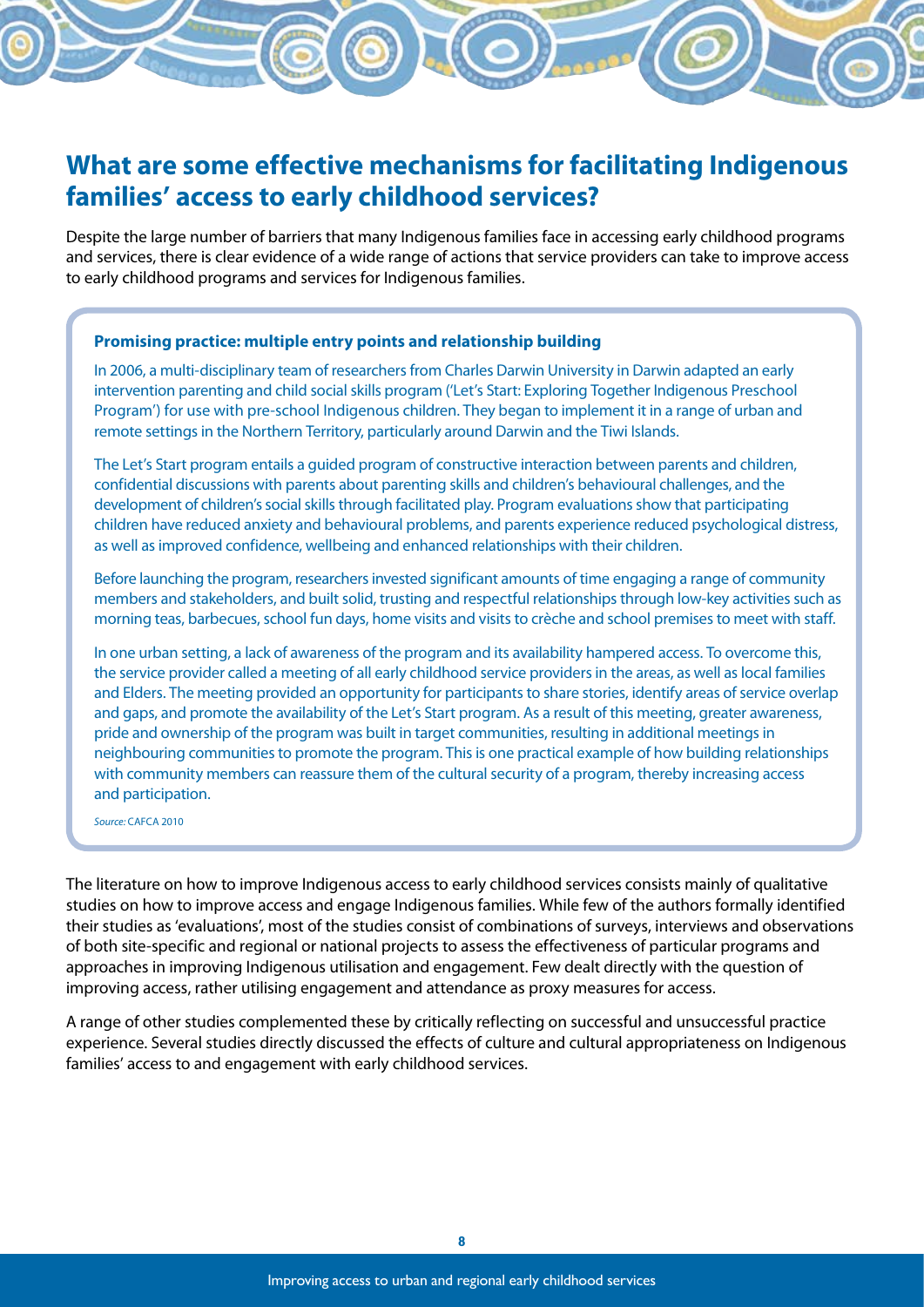## **What are some effective mechanisms for facilitating Indigenous families' access to early childhood services?**

Despite the large number of barriers that many Indigenous families face in accessing early childhood programs and services, there is clear evidence of a wide range of actions that service providers can take to improve access to early childhood programs and services for Indigenous families.

#### **Promising practice: multiple entry points and relationship building**

In 2006, a multi-disciplinary team of researchers from Charles Darwin University in Darwin adapted an early intervention parenting and child social skills program ('Let's Start: Exploring Together Indigenous Preschool Program') for use with pre-school Indigenous children. They began to implement it in a range of urban and remote settings in the Northern Territory, particularly around Darwin and the Tiwi Islands.

The Let's Start program entails a guided program of constructive interaction between parents and children, confidential discussions with parents about parenting skills and children's behavioural challenges, and the development of children's social skills through facilitated play. Program evaluations show that participating children have reduced anxiety and behavioural problems, and parents experience reduced psychological distress, as well as improved confidence, wellbeing and enhanced relationships with their children.

Before launching the program, researchers invested significant amounts of time engaging a range of community members and stakeholders, and built solid, trusting and respectful relationships through low-key activities such as morning teas, barbecues, school fun days, home visits and visits to crèche and school premises to meet with staff.

In one urban setting, a lack of awareness of the program and its availability hampered access. To overcome this, the service provider called a meeting of all early childhood service providers in the areas, as well as local families and Elders. The meeting provided an opportunity for participants to share stories, identify areas of service overlap and gaps, and promote the availability of the Let's Start program. As a result of this meeting, greater awareness, pride and ownership of the program was built in target communities, resulting in additional meetings in neighbouring communities to promote the program. This is one practical example of how building relationships with community members can reassure them of the cultural security of a program, thereby increasing access and participation.

*Source:* CAFCA 2010

The literature on how to improve Indigenous access to early childhood services consists mainly of qualitative studies on how to improve access and engage Indigenous families. While few of the authors formally identified their studies as 'evaluations', most of the studies consist of combinations of surveys, interviews and observations of both site-specific and regional or national projects to assess the effectiveness of particular programs and approaches in improving Indigenous utilisation and engagement. Few dealt directly with the question of improving access, rather utilising engagement and attendance as proxy measures for access.

A range of other studies complemented these by critically reflecting on successful and unsuccessful practice experience. Several studies directly discussed the effects of culture and cultural appropriateness on Indigenous families' access to and engagement with early childhood services.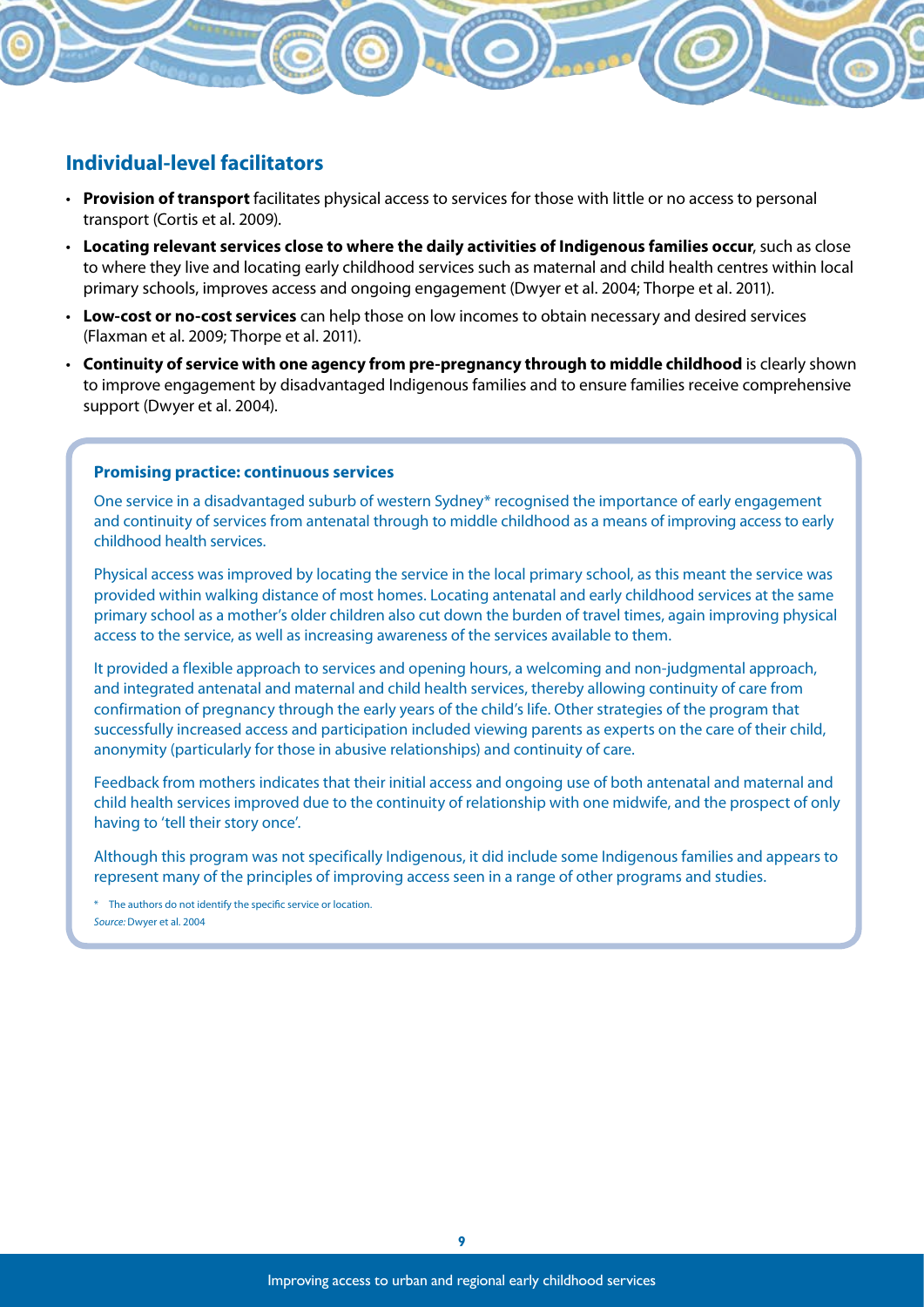#### **Individual-level facilitators**

- • **Provision of transport** facilitates physical access to services for those with little or no access to personal transport (Cortis et al. 2009).
- • **Locating relevant services close to where the daily activities of Indigenous families occur**, such as close to where they live and locating early childhood services such as maternal and child health centres within local primary schools, improves access and ongoing engagement (Dwyer et al. 2004; Thorpe et al. 2011).
- • **Low-cost or no-cost services** can help those on low incomes to obtain necessary and desired services (Flaxman et al. 2009; Thorpe et al. 2011).
- • **Continuity of service with one agency from pre-pregnancy through to middle childhood** is clearly shown to improve engagement by disadvantaged Indigenous families and to ensure families receive comprehensive support (Dwyer et al. 2004).

#### **Promising practice: continuous services**

One service in a disadvantaged suburb of western Sydney\* recognised the importance of early engagement and continuity of services from antenatal through to middle childhood as a means of improving access to early childhood health services.

Physical access was improved by locating the service in the local primary school, as this meant the service was provided within walking distance of most homes. Locating antenatal and early childhood services at the same primary school as a mother's older children also cut down the burden of travel times, again improving physical access to the service, as well as increasing awareness of the services available to them.

It provided a flexible approach to services and opening hours, a welcoming and non-judgmental approach, and integrated antenatal and maternal and child health services, thereby allowing continuity of care from confirmation of pregnancy through the early years of the child's life. Other strategies of the program that successfully increased access and participation included viewing parents as experts on the care of their child, anonymity (particularly for those in abusive relationships) and continuity of care.

Feedback from mothers indicates that their initial access and ongoing use of both antenatal and maternal and child health services improved due to the continuity of relationship with one midwife, and the prospect of only having to 'tell their story once'.

Although this program was not specifically Indigenous, it did include some Indigenous families and appears to represent many of the principles of improving access seen in a range of other programs and studies.

\* The authors do not identify the specific service or location. *Source:* Dwyer et al. 2004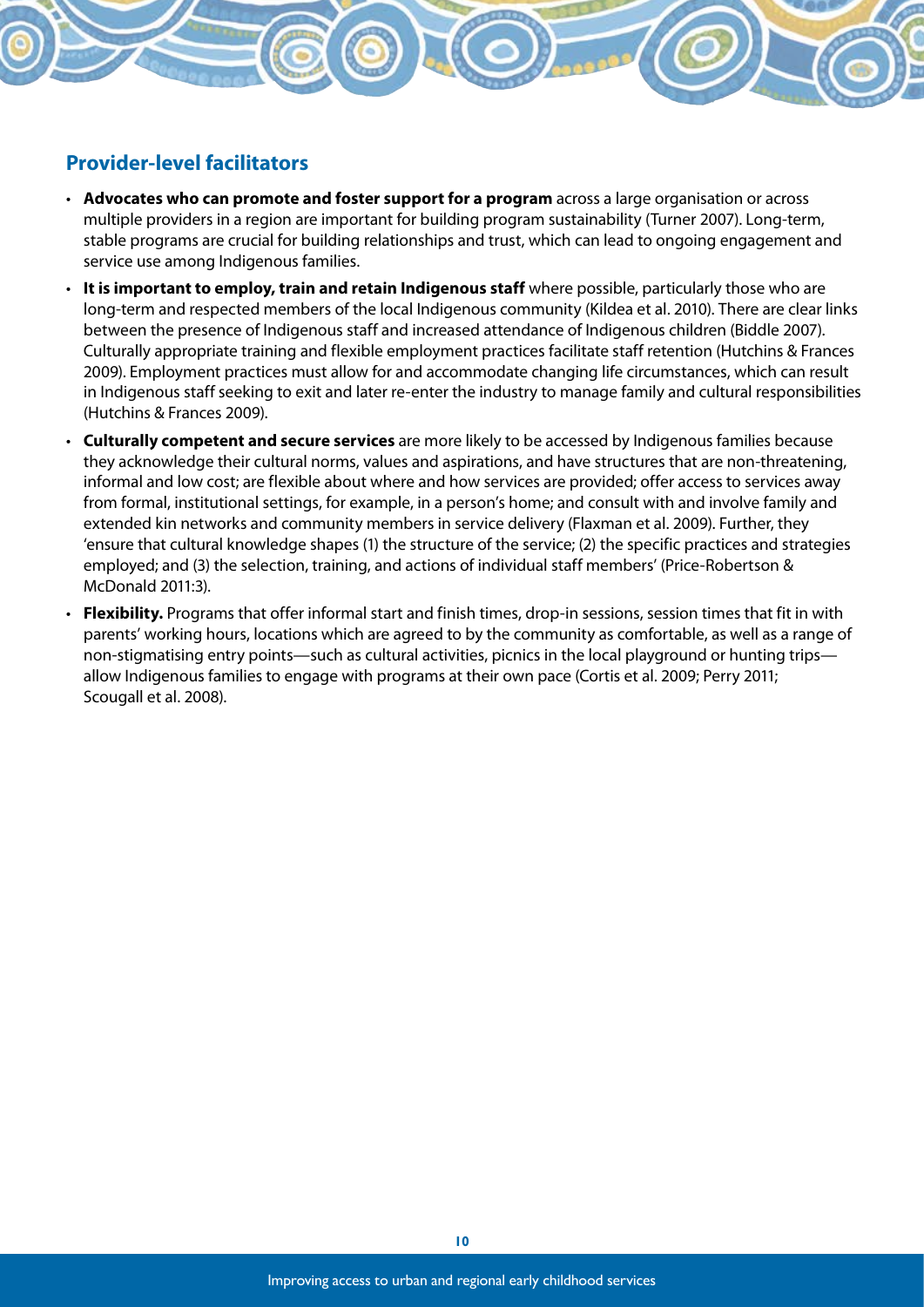#### **Provider-level facilitators**

- • **Advocates who can promote and foster support for a program** across a large organisation or across multiple providers in a region are important for building program sustainability (Turner 2007). Long-term, stable programs are crucial for building relationships and trust, which can lead to ongoing engagement and service use among Indigenous families.
- • **It is important to employ, train and retain Indigenous staff** where possible, particularly those who are long-term and respected members of the local Indigenous community (Kildea et al. 2010). There are clear links between the presence of Indigenous staff and increased attendance of Indigenous children (Biddle 2007). Culturally appropriate training and flexible employment practices facilitate staff retention (Hutchins & Frances 2009). Employment practices must allow for and accommodate changing life circumstances, which can result in Indigenous staff seeking to exit and later re-enter the industry to manage family and cultural responsibilities (Hutchins & Frances 2009).
- • **Culturally competent and secure services** are more likely to be accessed by Indigenous families because they acknowledge their cultural norms, values and aspirations, and have structures that are non-threatening, informal and low cost; are flexible about where and how services are provided; offer access to services away from formal, institutional settings, for example, in a person's home; and consult with and involve family and extended kin networks and community members in service delivery (Flaxman et al. 2009). Further, they 'ensure that cultural knowledge shapes (1) the structure of the service; (2) the specific practices and strategies employed; and (3) the selection, training, and actions of individual staff members' (Price-Robertson & McDonald 2011:3).
- • **Flexibility.** Programs that offer informal start and finish times, drop-in sessions, session times that fit in with parents' working hours, locations which are agreed to by the community as comfortable, as well as a range of non-stigmatising entry points—such as cultural activities, picnics in the local playground or hunting trips allow Indigenous families to engage with programs at their own pace (Cortis et al. 2009; Perry 2011; Scougall et al. 2008).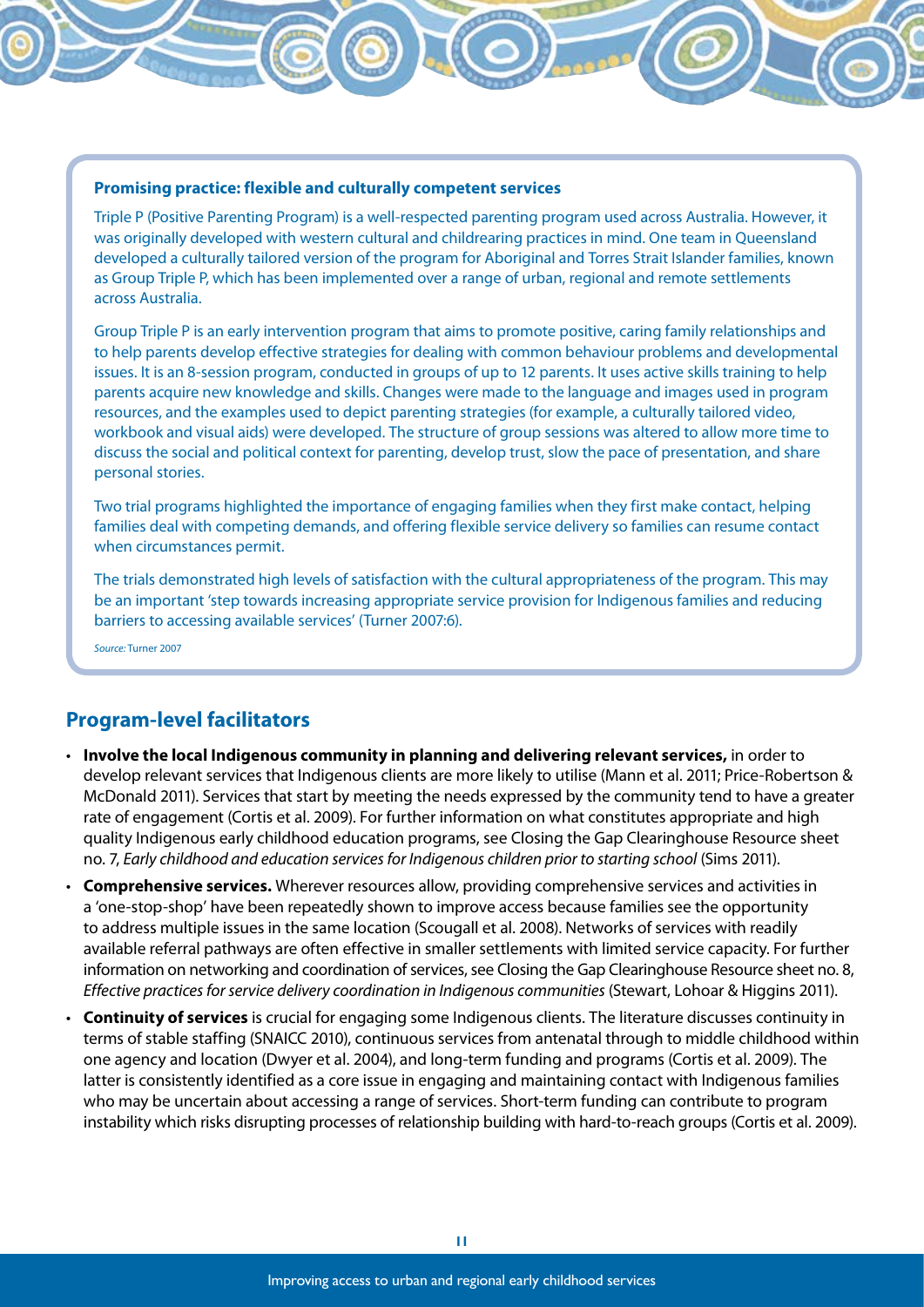#### **Promising practice: flexible and culturally competent services**

Triple P (Positive Parenting Program) is a well-respected parenting program used across Australia. However, it was originally developed with western cultural and childrearing practices in mind. One team in Queensland developed a culturally tailored version of the program for Aboriginal and Torres Strait Islander families, known as Group Triple P, which has been implemented over a range of urban, regional and remote settlements across Australia.

Group Triple P is an early intervention program that aims to promote positive, caring family relationships and to help parents develop effective strategies for dealing with common behaviour problems and developmental issues. It is an 8-session program, conducted in groups of up to 12 parents. It uses active skills training to help parents acquire new knowledge and skills. Changes were made to the language and images used in program resources, and the examples used to depict parenting strategies (for example, a culturally tailored video, workbook and visual aids) were developed. The structure of group sessions was altered to allow more time to discuss the social and political context for parenting, develop trust, slow the pace of presentation, and share personal stories.

Two trial programs highlighted the importance of engaging families when they first make contact, helping families deal with competing demands, and offering flexible service delivery so families can resume contact when circumstances permit.

The trials demonstrated high levels of satisfaction with the cultural appropriateness of the program. This may be an important 'step towards increasing appropriate service provision for Indigenous families and reducing barriers to accessing available services' (Turner 2007:6).

*Source:* Turner 2007

#### **Program-level facilitators**

- • **Involve the local Indigenous community in planning and delivering relevant services,** in order to develop relevant services that Indigenous clients are more likely to utilise (Mann et al. 2011; Price-Robertson & McDonald 2011). Services that start by meeting the needs expressed by the community tend to have a greater rate of engagement (Cortis et al. 2009). For further information on what constitutes appropriate and high quality Indigenous early childhood education programs, see Closing the Gap Clearinghouse Resource sheet no. 7, *Early childhood and education services for Indigenous children prior to starting school* (Sims 2011).
- • **Comprehensive services.** Wherever resources allow, providing comprehensive services and activities in a 'one-stop-shop' have been repeatedly shown to improve access because families see the opportunity to address multiple issues in the same location (Scougall et al. 2008). Networks of services with readily available referral pathways are often effective in smaller settlements with limited service capacity. For further information on networking and coordination of services, see Closing the Gap Clearinghouse Resource sheet no. 8, *Effective practices for service delivery coordination in Indigenous communities* (Stewart, Lohoar & Higgins 2011).
- • **Continuity of services** is crucial for engaging some Indigenous clients. The literature discusses continuity in terms of stable staffing (SNAICC 2010), continuous services from antenatal through to middle childhood within one agency and location (Dwyer et al. 2004), and long-term funding and programs (Cortis et al. 2009). The latter is consistently identified as a core issue in engaging and maintaining contact with Indigenous families who may be uncertain about accessing a range of services. Short-term funding can contribute to program instability which risks disrupting processes of relationship building with hard-to-reach groups (Cortis et al. 2009).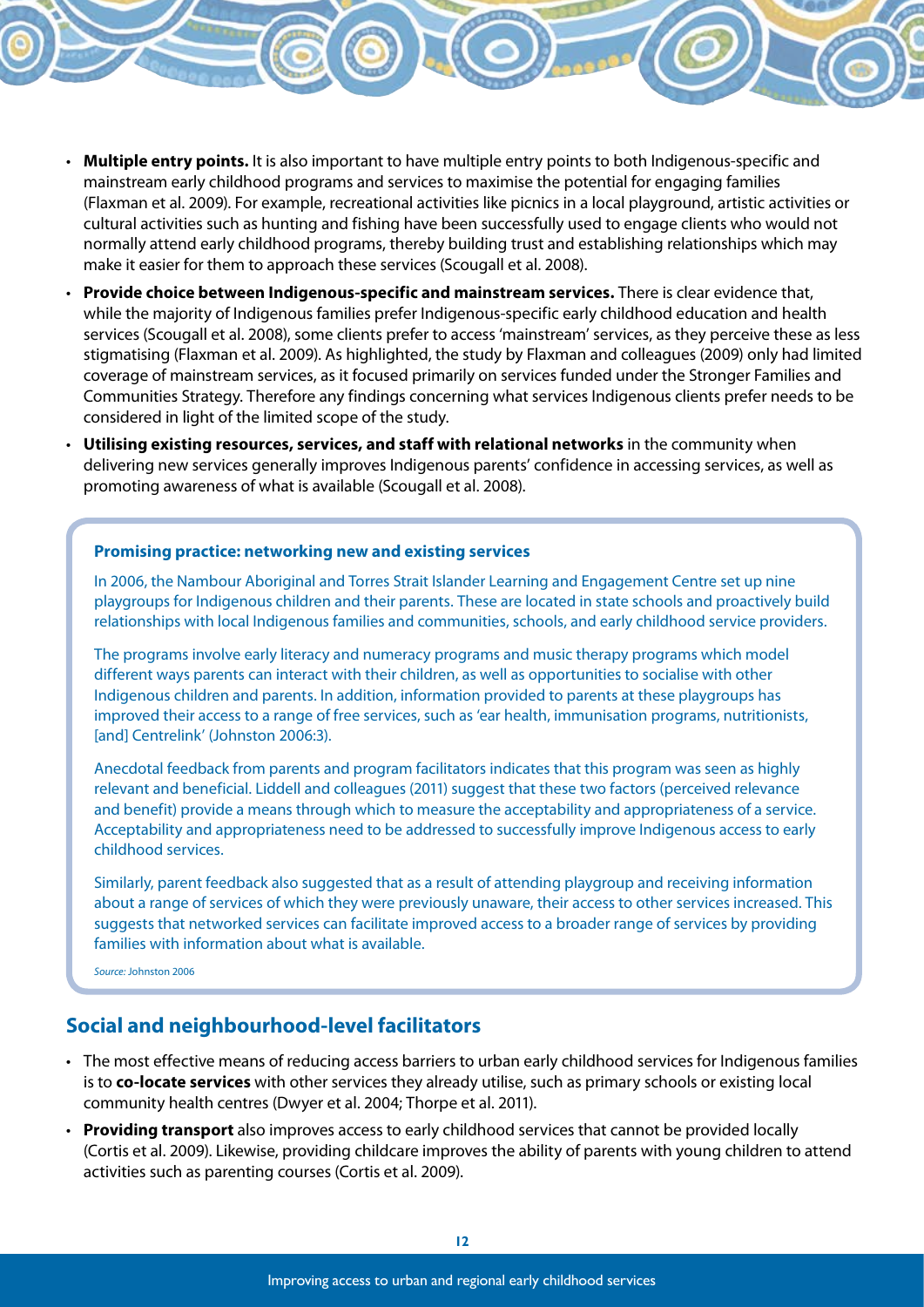- • **Multiple entry points.** It is also important to have multiple entry points to both Indigenous-specific and mainstream early childhood programs and services to maximise the potential for engaging families (Flaxman et al. 2009). For example, recreational activities like picnics in a local playground, artistic activities or cultural activities such as hunting and fishing have been successfully used to engage clients who would not normally attend early childhood programs, thereby building trust and establishing relationships which may make it easier for them to approach these services (Scougall et al. 2008).
- • **Provide choice between Indigenous-specific and mainstream services.** There is clear evidence that, while the majority of Indigenous families prefer Indigenous-specific early childhood education and health services (Scougall et al. 2008), some clients prefer to access 'mainstream' services, as they perceive these as less stigmatising (Flaxman et al. 2009). As highlighted, the study by Flaxman and colleagues (2009) only had limited coverage of mainstream services, as it focused primarily on services funded under the Stronger Families and Communities Strategy. Therefore any findings concerning what services Indigenous clients prefer needs to be considered in light of the limited scope of the study.
- • **Utilising existing resources, services, and staff with relational networks** in the community when delivering new services generally improves Indigenous parents' confidence in accessing services, as well as promoting awareness of what is available (Scougall et al. 2008).

#### **Promising practice: networking new and existing services**

In 2006, the Nambour Aboriginal and Torres Strait Islander Learning and Engagement Centre set up nine playgroups for Indigenous children and their parents. These are located in state schools and proactively build relationships with local Indigenous families and communities, schools, and early childhood service providers.

The programs involve early literacy and numeracy programs and music therapy programs which model different ways parents can interact with their children, as well as opportunities to socialise with other Indigenous children and parents. In addition, information provided to parents at these playgroups has improved their access to a range of free services, such as 'ear health, immunisation programs, nutritionists, [and] Centrelink' (Johnston 2006:3).

Anecdotal feedback from parents and program facilitators indicates that this program was seen as highly relevant and beneficial. Liddell and colleagues (2011) suggest that these two factors (perceived relevance and benefit) provide a means through which to measure the acceptability and appropriateness of a service. Acceptability and appropriateness need to be addressed to successfully improve Indigenous access to early childhood services.

Similarly, parent feedback also suggested that as a result of attending playgroup and receiving information about a range of services of which they were previously unaware, their access to other services increased. This suggests that networked services can facilitate improved access to a broader range of services by providing families with information about what is available.

*Source:* Johnston 2006

#### **Social and neighbourhood-level facilitators**

- • The most effective means of reducing access barriers to urban early childhood services for Indigenous families is to **co-locate services** with other services they already utilise, such as primary schools or existing local community health centres (Dwyer et al. 2004; Thorpe et al. 2011).
- • **Providing transport** also improves access to early childhood services that cannot be provided locally (Cortis et al. 2009). Likewise, providing childcare improves the ability of parents with young children to attend activities such as parenting courses (Cortis et al. 2009).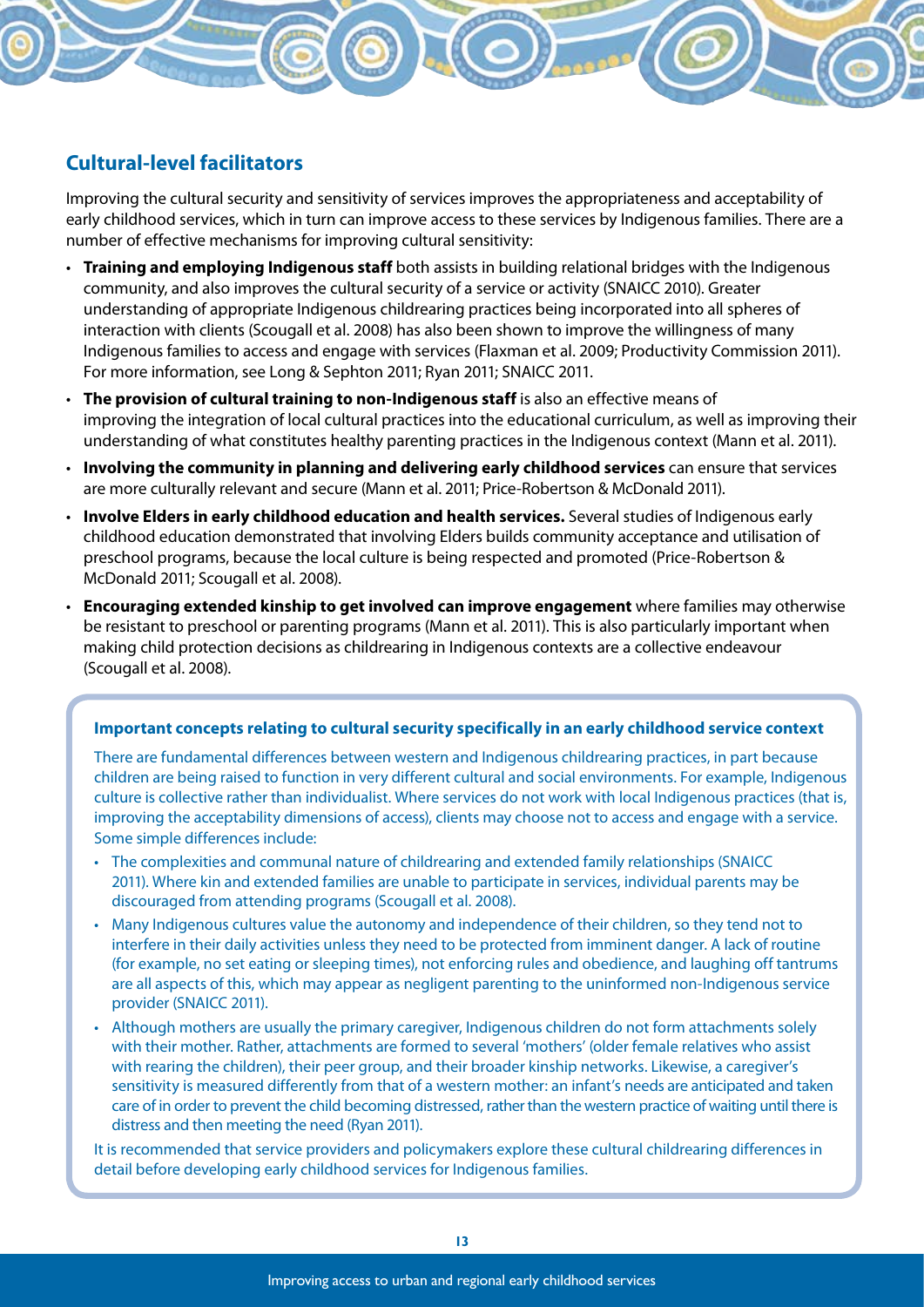#### **Cultural-level facilitators**

Improving the cultural security and sensitivity of services improves the appropriateness and acceptability of early childhood services, which in turn can improve access to these services by Indigenous families. There are a number of effective mechanisms for improving cultural sensitivity:

- • **Training and employing Indigenous staff** both assists in building relational bridges with the Indigenous community, and also improves the cultural security of a service or activity (SNAICC 2010). Greater understanding of appropriate Indigenous childrearing practices being incorporated into all spheres of interaction with clients (Scougall et al. 2008) has also been shown to improve the willingness of many Indigenous families to access and engage with services (Flaxman et al. 2009; Productivity Commission 2011). For more information, see Long & Sephton 2011; Ryan 2011; SNAICC 2011.
- • **The provision of cultural training to non-Indigenous staff** is also an effective means of improving the integration of local cultural practices into the educational curriculum, as well as improving their understanding of what constitutes healthy parenting practices in the Indigenous context (Mann et al. 2011).
- • **Involving the community in planning and delivering early childhood services** can ensure that services are more culturally relevant and secure (Mann et al. 2011; Price-Robertson & McDonald 2011).
- • **Involve Elders in early childhood education and health services.** Several studies of Indigenous early childhood education demonstrated that involving Elders builds community acceptance and utilisation of preschool programs, because the local culture is being respected and promoted (Price-Robertson & McDonald 2011; Scougall et al. 2008).
- • **Encouraging extended kinship to get involved can improve engagement** where families may otherwise be resistant to preschool or parenting programs (Mann et al. 2011). This is also particularly important when making child protection decisions as childrearing in Indigenous contexts are a collective endeavour (Scougall et al. 2008).

#### **Important concepts relating to cultural security specifically in an early childhood service context**

There are fundamental differences between western and Indigenous childrearing practices, in part because children are being raised to function in very different cultural and social environments. For example, Indigenous culture is collective rather than individualist. Where services do not work with local Indigenous practices (that is, improving the acceptability dimensions of access), clients may choose not to access and engage with a service. Some simple differences include:

- • The complexities and communal nature of childrearing and extended family relationships (SNAICC 2011). Where kin and extended families are unable to participate in services, individual parents may be discouraged from attending programs (Scougall et al. 2008).
- Many Indigenous cultures value the autonomy and independence of their children, so they tend not to interfere in their daily activities unless they need to be protected from imminent danger. A lack of routine (for example, no set eating or sleeping times), not enforcing rules and obedience, and laughing off tantrums are all aspects of this, which may appear as negligent parenting to the uninformed non-Indigenous service provider (SNAICC 2011).
- Although mothers are usually the primary caregiver, Indigenous children do not form attachments solely with their mother. Rather, attachments are formed to several 'mothers' (older female relatives who assist with rearing the children), their peer group, and their broader kinship networks. Likewise, a caregiver's sensitivity is measured differently from that of a western mother: an infant's needs are anticipated and taken care of in order to prevent the child becoming distressed, rather than the western practice of waiting until there is distress and then meeting the need (Ryan 2011).

It is recommended that service providers and policymakers explore these cultural childrearing differences in detail before developing early childhood services for Indigenous families.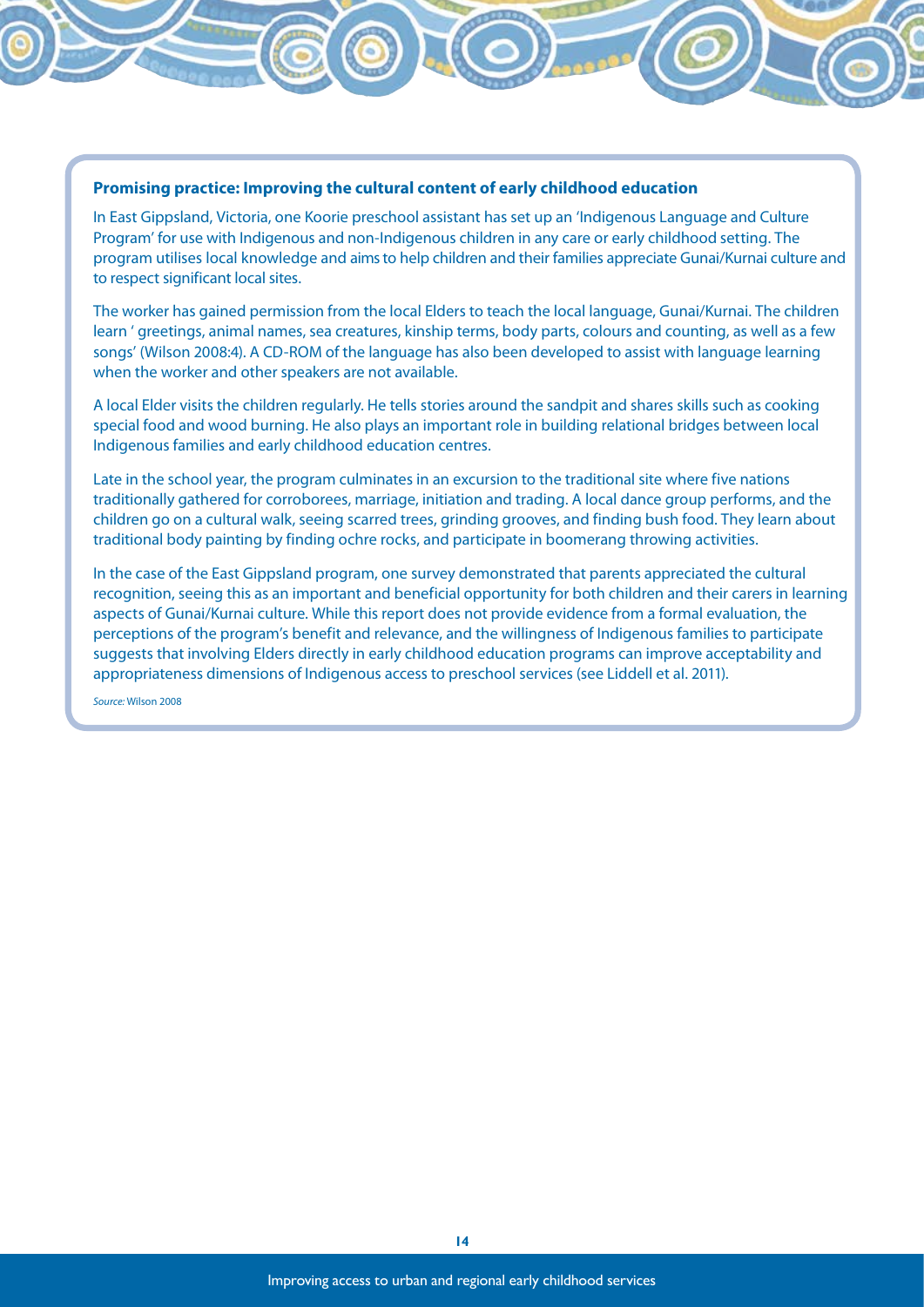#### **Promising practice: Improving the cultural content of early childhood education**

In East Gippsland, Victoria, one Koorie preschool assistant has set up an 'Indigenous Language and Culture Program' for use with Indigenous and non-Indigenous children in any care or early childhood setting. The program utilises local knowledge and aims to help children and their families appreciate Gunai/Kurnai culture and to respect significant local sites.

The worker has gained permission from the local Elders to teach the local language, Gunai/Kurnai. The children learn ' greetings, animal names, sea creatures, kinship terms, body parts, colours and counting, as well as a few songs' (Wilson 2008:4). A CD-ROM of the language has also been developed to assist with language learning when the worker and other speakers are not available.

A local Elder visits the children regularly. He tells stories around the sandpit and shares skills such as cooking special food and wood burning. He also plays an important role in building relational bridges between local Indigenous families and early childhood education centres.

Late in the school year, the program culminates in an excursion to the traditional site where five nations traditionally gathered for corroborees, marriage, initiation and trading. A local dance group performs, and the children go on a cultural walk, seeing scarred trees, grinding grooves, and finding bush food. They learn about traditional body painting by finding ochre rocks, and participate in boomerang throwing activities.

In the case of the East Gippsland program, one survey demonstrated that parents appreciated the cultural recognition, seeing this as an important and beneficial opportunity for both children and their carers in learning aspects of Gunai/Kurnai culture. While this report does not provide evidence from a formal evaluation, the perceptions of the program's benefit and relevance, and the willingness of Indigenous families to participate suggests that involving Elders directly in early childhood education programs can improve acceptability and appropriateness dimensions of Indigenous access to preschool services (see Liddell et al. 2011).

*Source:* Wilson 2008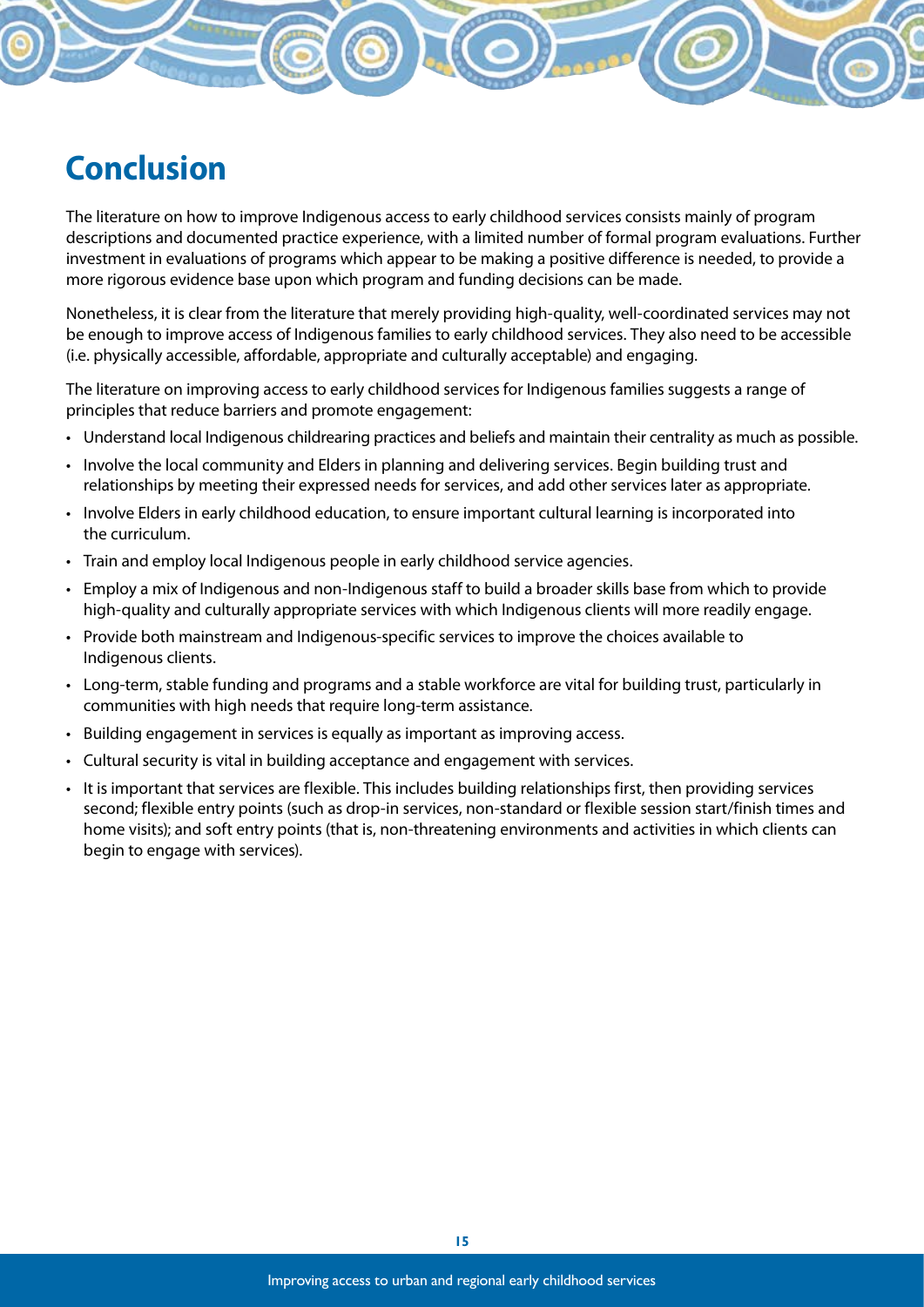# **Conclusion**

The literature on how to improve Indigenous access to early childhood services consists mainly of program descriptions and documented practice experience, with a limited number of formal program evaluations. Further investment in evaluations of programs which appear to be making a positive difference is needed, to provide a more rigorous evidence base upon which program and funding decisions can be made.

Nonetheless, it is clear from the literature that merely providing high-quality, well-coordinated services may not be enough to improve access of Indigenous families to early childhood services. They also need to be accessible (i.e. physically accessible, affordable, appropriate and culturally acceptable) and engaging.

The literature on improving access to early childhood services for Indigenous families suggests a range of principles that reduce barriers and promote engagement:

- Understand local Indigenous childrearing practices and beliefs and maintain their centrality as much as possible.
- • Involve the local community and Elders in planning and delivering services. Begin building trust and relationships by meeting their expressed needs for services, and add other services later as appropriate.
- • Involve Elders in early childhood education, to ensure important cultural learning is incorporated into the curriculum.
- • Train and employ local Indigenous people in early childhood service agencies.
- • Employ a mix of Indigenous and non-Indigenous staff to build a broader skills base from which to provide high-quality and culturally appropriate services with which Indigenous clients will more readily engage.
- Provide both mainstream and Indigenous-specific services to improve the choices available to Indigenous clients.
- • Long-term, stable funding and programs and a stable workforce are vital for building trust, particularly in communities with high needs that require long-term assistance.
- Building engagement in services is equally as important as improving access.
- • Cultural security is vital in building acceptance and engagement with services.
- It is important that services are flexible. This includes building relationships first, then providing services second; flexible entry points (such as drop-in services, non-standard or flexible session start/finish times and home visits); and soft entry points (that is, non-threatening environments and activities in which clients can begin to engage with services).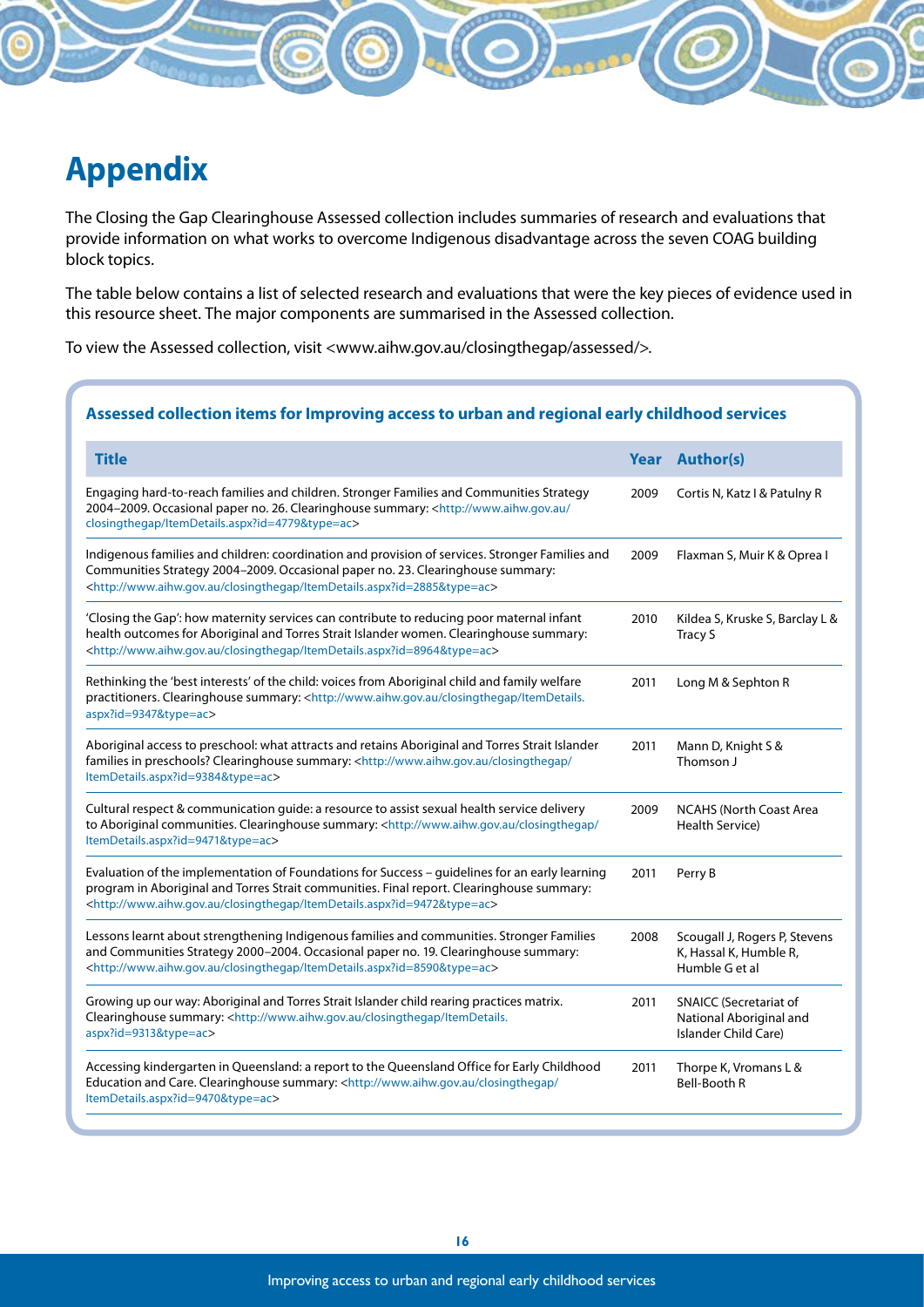# **Appendix**

The Closing the Gap Clearinghouse Assessed collection includes summaries of research and evaluations that provide information on what works to overcome Indigenous disadvantage across the seven COAG building block topics.

The table below contains a list of selected research and evaluations that were the key pieces of evidence used in this resource sheet. The major components are summarised in the Assessed collection.

To view the Assessed collection, visit <www.aihw.gov.au/closingthegap/assessed/>.

#### **Assessed collection items for Improving access to urban and regional early childhood services**

| <b>Title</b>                                                                                                                                                                                                                                                                              |      | <b>Year Author(s)</b>                                                            |
|-------------------------------------------------------------------------------------------------------------------------------------------------------------------------------------------------------------------------------------------------------------------------------------------|------|----------------------------------------------------------------------------------|
| Engaging hard-to-reach families and children. Stronger Families and Communities Strategy<br>2004-2009. Occasional paper no. 26. Clearinghouse summary: <http: <br="" www.aihw.gov.au="">closingthegap/ItemDetails.aspx?id=4779&amp;type=ac&gt;</http:>                                    | 2009 | Cortis N, Katz I & Patulny R                                                     |
| Indigenous families and children: coordination and provision of services. Stronger Families and<br>Communities Strategy 2004-2009. Occasional paper no. 23. Clearinghouse summary:<br><http: closingthegap="" itemdetails.aspx?id="2885&amp;type=ac" www.aihw.gov.au=""></http:>          | 2009 | Flaxman S, Muir K & Oprea I                                                      |
| 'Closing the Gap': how maternity services can contribute to reducing poor maternal infant<br>health outcomes for Aboriginal and Torres Strait Islander women. Clearinghouse summary:<br><http: closingthegap="" itemdetails.aspx?id="8964&amp;type=ac" www.aihw.gov.au=""></http:>        | 2010 | Kildea S, Kruske S, Barclay L &<br><b>Tracy S</b>                                |
| Rethinking the 'best interests' of the child: voices from Aboriginal child and family welfare<br>practitioners. Clearinghouse summary: <http: closingthegap="" itemdetails.<br="" www.aihw.gov.au="">aspx?id=9347&amp;type=ac&gt;</http:>                                                 | 2011 | Long M & Sephton R                                                               |
| Aboriginal access to preschool: what attracts and retains Aboriginal and Torres Strait Islander<br>families in preschools? Clearinghouse summary: <http: <br="" closingthegap="" www.aihw.gov.au="">ItemDetails.aspx?id=9384&amp;type=ac&gt;</http:>                                      | 2011 | Mann D, Knight S &<br>Thomson J                                                  |
| Cultural respect & communication guide: a resource to assist sexual health service delivery<br>to Aboriginal communities. Clearinghouse summary: <http: <br="" closingthegap="" www.aihw.gov.au="">ItemDetails.aspx?id=9471&amp;type=ac&gt;</http:>                                       | 2009 | <b>NCAHS (North Coast Area</b><br>Health Service)                                |
| Evaluation of the implementation of Foundations for Success - guidelines for an early learning<br>program in Aboriginal and Torres Strait communities. Final report. Clearinghouse summary:<br><http: closingthegap="" ltemdetails.aspx?id="9472&amp;type=ac" www.aihw.gov.au=""></http:> | 2011 | Perry B                                                                          |
| Lessons learnt about strengthening Indigenous families and communities. Stronger Families<br>and Communities Strategy 2000-2004. Occasional paper no. 19. Clearinghouse summary:<br><http: closingthegap="" itemdetails.aspx?id="8590&amp;type=ac" www.aihw.gov.au=""></http:>            | 2008 | Scougall J, Rogers P, Stevens<br>K, Hassal K, Humble R,<br>Humble G et al        |
| Growing up our way: Aboriginal and Torres Strait Islander child rearing practices matrix.<br>Clearinghouse summary: <http: closingthegap="" itemdetails.<br="" www.aihw.gov.au="">aspx?id=9313&amp;type=ac&gt;</http:>                                                                    | 2011 | <b>SNAICC (Secretariat of</b><br>National Aboriginal and<br>Islander Child Care) |
| Accessing kindergarten in Queensland: a report to the Queensland Office for Early Childhood<br>Education and Care. Clearinghouse summary: <http: <br="" closingthegap="" www.aihw.gov.au="">ItemDetails.aspx?id=9470&amp;type=ac&gt;</http:>                                              | 2011 | Thorpe K, Vromans L &<br><b>Bell-Booth R</b>                                     |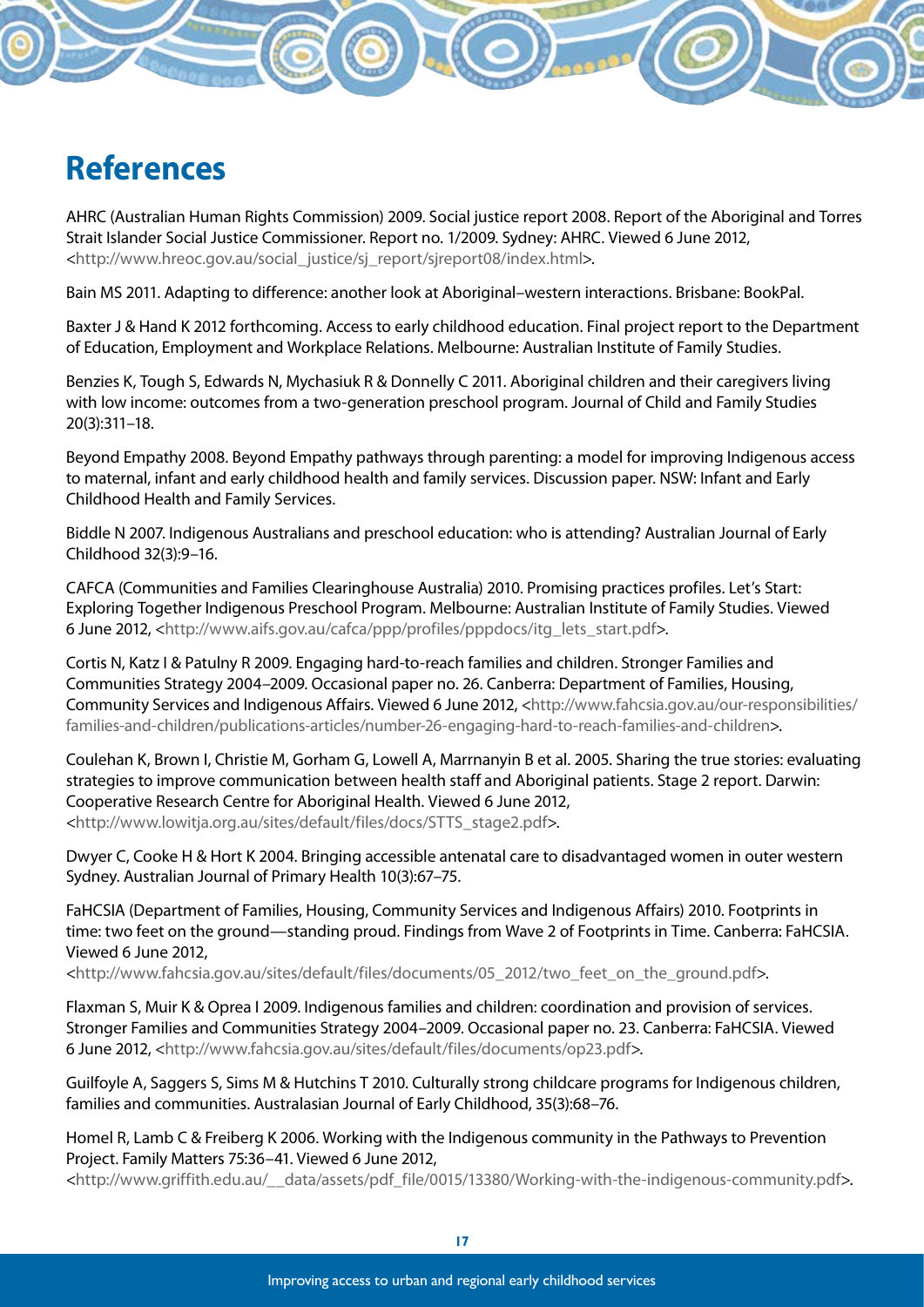# **References**

AHRC (Australian Human Rights Commission) 2009. Social justice report 2008. Report of the Aboriginal and Torres Strait Islander Social Justice Commissioner. Report no. 1/2009. Sydney: AHRC. Viewed 6 June 2012, <http://www.hreoc.gov.au/social\_justice/sj\_report/sjreport08/index.html>.

Bain MS 2011. Adapting to difference: another look at Aboriginal–western interactions. Brisbane: BookPal.

Baxter J & Hand K 2012 forthcoming. Access to early childhood education. Final project report to the Department of Education, Employment and Workplace Relations. Melbourne: Australian Institute of Family Studies.

Benzies K, Tough S, Edwards N, Mychasiuk R & Donnelly C 2011. Aboriginal children and their caregivers living with low income: outcomes from a two-generation preschool program. Journal of Child and Family Studies 20(3):311–18.

Beyond Empathy 2008. Beyond Empathy pathways through parenting: a model for improving Indigenous access to maternal, infant and early childhood health and family services. Discussion paper. NSW: Infant and Early Childhood Health and Family Services.

Biddle N 2007. Indigenous Australians and preschool education: who is attending? Australian Journal of Early Childhood 32(3):9–16.

CAFCA (Communities and Families Clearinghouse Australia) 2010. Promising practices profiles. Let's Start: Exploring Together Indigenous Preschool Program. Melbourne: Australian Institute of Family Studies. Viewed 6 June 2012, <http://www.aifs.gov.au/cafca/ppp/profiles/pppdocs/itg\_lets\_start.pdf>.

Cortis N, Katz I & Patulny R 2009. Engaging hard-to-reach families and children. Stronger Families and Communities Strategy 2004–2009. Occasional paper no. 26. Canberra: Department of Families, Housing, Community Services and Indigenous Affairs. Viewed 6 June 2012, <http://www.fahcsia.gov.au/our-responsibilities/ families-and-children/publications-articles/number-26-engaging-hard-to-reach-families-and-children>.

Coulehan K, Brown I, Christie M, Gorham G, Lowell A, Marrnanyin B et al. 2005. Sharing the true stories: evaluating strategies to improve communication between health staff and Aboriginal patients. Stage 2 report. Darwin: Cooperative Research Centre for Aboriginal Health. Viewed 6 June 2012, <http://www.lowitja.org.au/sites/default/files/docs/STTS\_stage2.pdf>.

Dwyer C, Cooke H & Hort K 2004. Bringing accessible antenatal care to disadvantaged women in outer western Sydney. Australian Journal of Primary Health 10(3):67–75.

FaHCSIA (Department of Families, Housing, Community Services and Indigenous Affairs) 2010. Footprints in time: two feet on the ground—standing proud. Findings from Wave 2 of Footprints in Time. Canberra: FaHCSIA. Viewed 6 June 2012,

<http://www.fahcsia.gov.au/sites/default/files/documents/05\_2012/two\_feet\_on\_the\_ground.pdf>.

Flaxman S, Muir K & Oprea I 2009. Indigenous families and children: coordination and provision of services. Stronger Families and Communities Strategy 2004–2009. Occasional paper no. 23. Canberra: FaHCSIA. Viewed 6 June 2012, <http://www.fahcsia.gov.au/sites/default/files/documents/op23.pdf>.

Guilfoyle A, Saggers S, Sims M & Hutchins T 2010. Culturally strong childcare programs for Indigenous children, families and communities. Australasian Journal of Early Childhood, 35(3):68–76.

Homel R, Lamb C & Freiberg K 2006. Working with the Indigenous community in the Pathways to Prevention Project. Family Matters 75:36–41. Viewed 6 June 2012,

<http://www.griffith.edu.au/\_\_data/assets/pdf\_file/0015/13380/Working-with-the-indigenous-community.pdf>.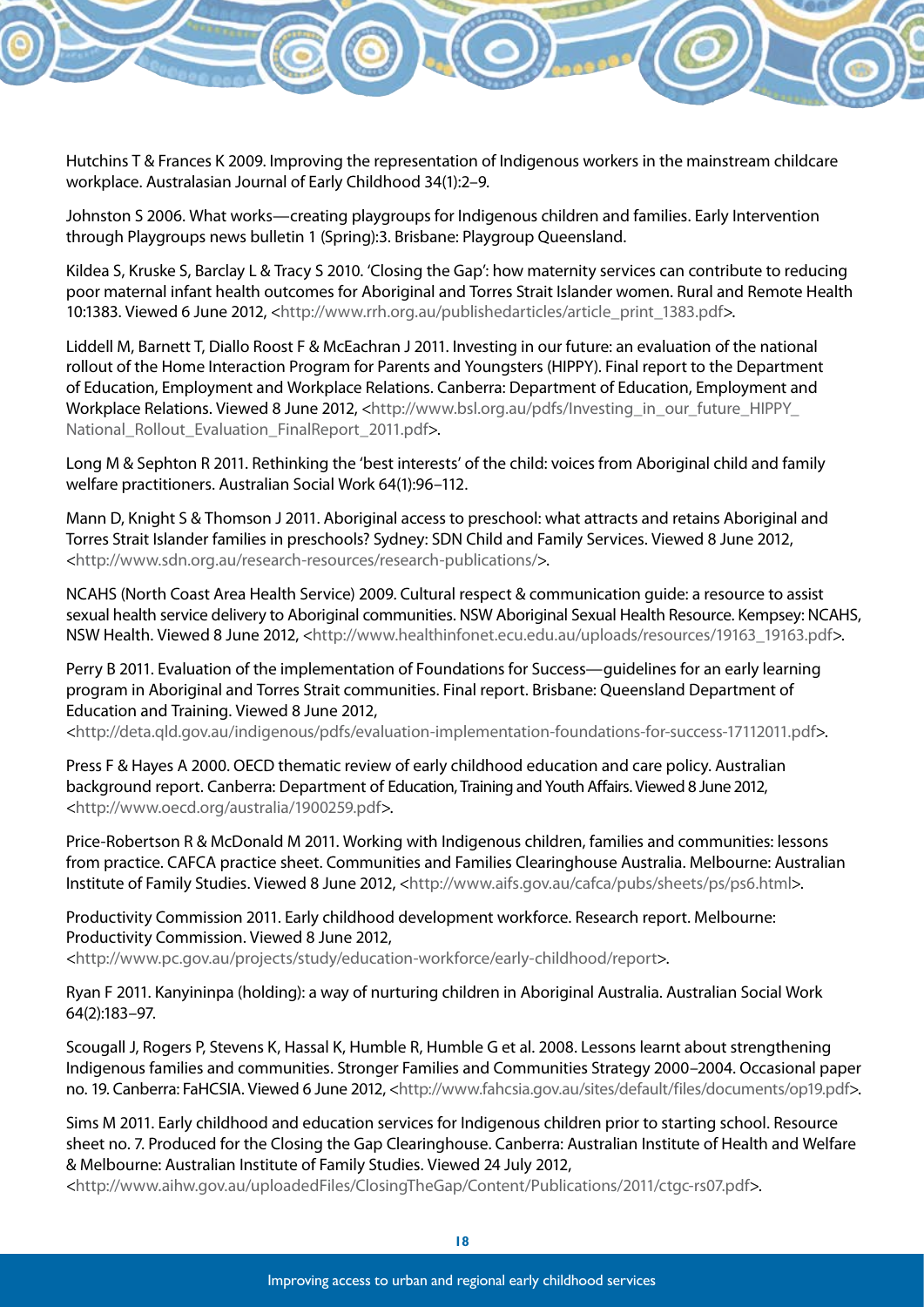

Johnston S 2006. What works—creating playgroups for Indigenous children and families. Early Intervention through Playgroups news bulletin 1 (Spring):3. Brisbane: Playgroup Queensland.

Kildea S, Kruske S, Barclay L & Tracy S 2010. 'Closing the Gap': how maternity services can contribute to reducing poor maternal infant health outcomes for Aboriginal and Torres Strait Islander women. Rural and Remote Health 10:1383. Viewed 6 June 2012, <http://www.rrh.org.au/publishedarticles/article\_print\_1383.pdf>.

Liddell M, Barnett T, Diallo Roost F & McEachran J 2011. Investing in our future: an evaluation of the national rollout of the Home Interaction Program for Parents and Youngsters (HIPPY). Final report to the Department of Education, Employment and Workplace Relations. Canberra: Department of Education, Employment and Workplace Relations. Viewed 8 June 2012, <http://www.bsl.org.au/pdfs/Investing\_in\_our\_future\_HIPPY\_ National\_Rollout\_Evaluation\_FinalReport\_2011.pdf>.

Long M & Sephton R 2011. Rethinking the 'best interests' of the child: voices from Aboriginal child and family welfare practitioners. Australian Social Work 64(1):96–112.

Mann D, Knight S & Thomson J 2011. Aboriginal access to preschool: what attracts and retains Aboriginal and Torres Strait Islander families in preschools? Sydney: SDN Child and Family Services. Viewed 8 June 2012, <http://www.sdn.org.au/research-resources/research-publications/>.

NCAHS (North Coast Area Health Service) 2009. Cultural respect & communication guide: a resource to assist sexual health service delivery to Aboriginal communities. NSW Aboriginal Sexual Health Resource. Kempsey: NCAHS, NSW Health. Viewed 8 June 2012, <http://www.healthinfonet.ecu.edu.au/uploads/resources/19163\_19163.pdf>.

Perry B 2011. Evaluation of the implementation of Foundations for Success—guidelines for an early learning program in Aboriginal and Torres Strait communities. Final report. Brisbane: Queensland Department of Education and Training. Viewed 8 June 2012,

<http://deta.qld.gov.au/indigenous/pdfs/evaluation-implementation-foundations-for-success-17112011.pdf>.

Press F & Hayes A 2000. OECD thematic review of early childhood education and care policy. Australian background report. Canberra: Department of Education, Training and Youth Affairs. Viewed 8 June 2012, <http://www.oecd.org/australia/1900259.pdf>.

Price-Robertson R & McDonald M 2011. Working with Indigenous children, families and communities: lessons from practice. CAFCA practice sheet. Communities and Families Clearinghouse Australia. Melbourne: Australian Institute of Family Studies. Viewed 8 June 2012, <http://www.aifs.gov.au/cafca/pubs/sheets/ps/ps6.html>.

Productivity Commission 2011. Early childhood development workforce. Research report. Melbourne: Productivity Commission. Viewed 8 June 2012, <http://www.pc.gov.au/projects/study/education-workforce/early-childhood/report>.

Ryan F 2011. Kanyininpa (holding): a way of nurturing children in Aboriginal Australia. Australian Social Work 64(2):183–97.

Scougall J, Rogers P, Stevens K, Hassal K, Humble R, Humble G et al. 2008. Lessons learnt about strengthening Indigenous families and communities. Stronger Families and Communities Strategy 2000–2004. Occasional paper no. 19. Canberra: FaHCSIA. Viewed 6 June 2012, <http://www.fahcsia.gov.au/sites/default/files/documents/op19.pdf>.

Sims M 2011. Early childhood and education services for Indigenous children prior to starting school. Resource sheet no. 7. Produced for the Closing the Gap Clearinghouse. Canberra: Australian Institute of Health and Welfare & Melbourne: Australian Institute of Family Studies. Viewed 24 July 2012,

<http://www.aihw.gov.au/uploadedFiles/ClosingTheGap/Content/Publications/2011/ctgc-rs07.pdf>.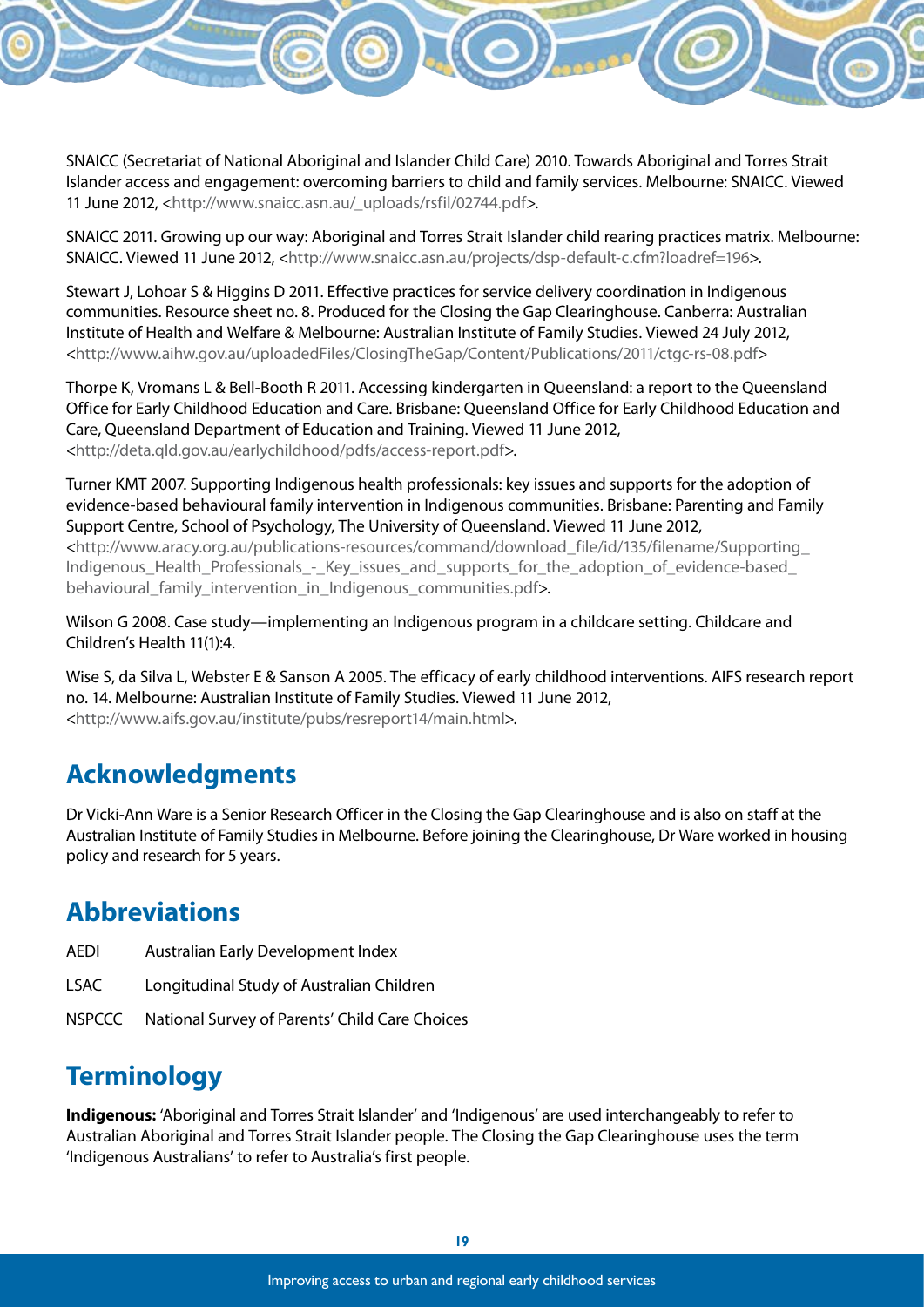SNAICC (Secretariat of National Aboriginal and Islander Child Care) 2010. Towards Aboriginal and Torres Strait Islander access and engagement: overcoming barriers to child and family services. Melbourne: SNAICC. Viewed 11 June 2012, <http://www.snaicc.asn.au/\_uploads/rsfil/02744.pdf>.

SNAICC 2011. Growing up our way: Aboriginal and Torres Strait Islander child rearing practices matrix. Melbourne: SNAICC. Viewed 11 June 2012, <http://www.snaicc.asn.au/projects/dsp-default-c.cfm?loadref=196>.

Stewart J, Lohoar S & Higgins D 2011. Effective practices for service delivery coordination in Indigenous communities. Resource sheet no. 8. Produced for the Closing the Gap Clearinghouse. Canberra: Australian Institute of Health and Welfare & Melbourne: Australian Institute of Family Studies. Viewed 24 July 2012, <http://www.aihw.gov.au/uploadedFiles/ClosingTheGap/Content/Publications/2011/ctgc-rs-08.pdf>

Thorpe K, Vromans L & Bell-Booth R 2011. Accessing kindergarten in Queensland: a report to the Queensland Office for Early Childhood Education and Care. Brisbane: Queensland Office for Early Childhood Education and Care, Queensland Department of Education and Training. Viewed 11 June 2012, <http://deta.qld.gov.au/earlychildhood/pdfs/access-report.pdf>.

Turner KMT 2007. Supporting Indigenous health professionals: key issues and supports for the adoption of evidence-based behavioural family intervention in Indigenous communities. Brisbane: Parenting and Family Support Centre, School of Psychology, The University of Queensland. Viewed 11 June 2012,

<http://www.aracy.org.au/publications-resources/command/download\_file/id/135/filename/Supporting\_ Indigenous Health Professionals - Key issues and supports for the adoption of evidence-based behavioural family intervention in Indigenous communities.pdf>.

Wilson G 2008. Case study—implementing an Indigenous program in a childcare setting. Childcare and Children's Health 11(1):4.

Wise S, da Silva L, Webster E & Sanson A 2005. The efficacy of early childhood interventions. AIFS research report no. 14. Melbourne: Australian Institute of Family Studies. Viewed 11 June 2012, <http://www.aifs.gov.au/institute/pubs/resreport14/main.html>.

## **Acknowledgments**

Dr Vicki-Ann Ware is a Senior Research Officer in the Closing the Gap Clearinghouse and is also on staff at the Australian Institute of Family Studies in Melbourne. Before joining the Clearinghouse, Dr Ware worked in housing policy and research for 5 years.

## **Abbreviations**

- AEDI Australian Early Development Index
- LSAC Longitudinal Study of Australian Children
- NSPCCC National Survey of Parents' Child Care Choices

## **Terminology**

**Indigenous:** 'Aboriginal and Torres Strait Islander' and 'Indigenous' are used interchangeably to refer to Australian Aboriginal and Torres Strait Islander people. The Closing the Gap Clearinghouse uses the term 'Indigenous Australians' to refer to Australia's first people.